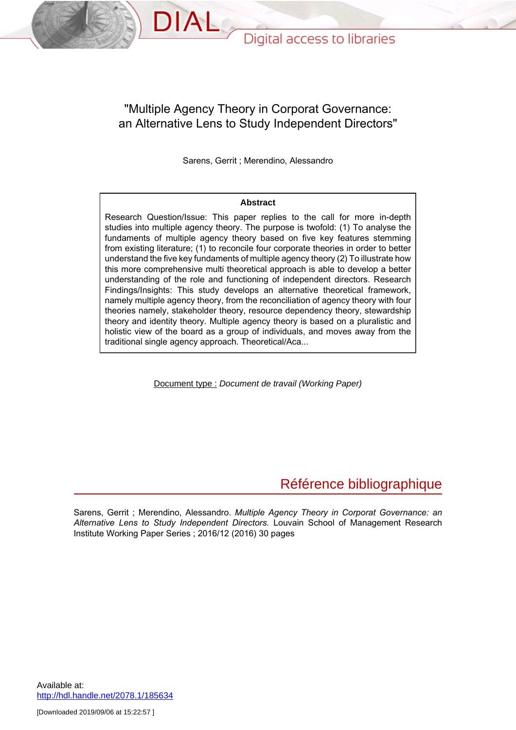### "Multiple Agency Theory in Corporat Governance: an Alternative Lens to Study Independent Directors"

DIAL

Sarens, Gerrit ; Merendino, Alessandro

#### **Abstract**

Research Question/Issue: This paper replies to the call for more in-depth studies into multiple agency theory. The purpose is twofold: (1) To analyse the fundaments of multiple agency theory based on five key features stemming from existing literature; (1) to reconcile four corporate theories in order to better understand the five key fundaments of multiple agency theory (2) To illustrate how this more comprehensive multi theoretical approach is able to develop a better understanding of the role and functioning of independent directors. Research Findings/Insights: This study develops an alternative theoretical framework, namely multiple agency theory, from the reconciliation of agency theory with four theories namely, stakeholder theory, resource dependency theory, stewardship theory and identity theory. Multiple agency theory is based on a pluralistic and holistic view of the board as a group of individuals, and moves away from the traditional single agency approach. Theoretical/Aca...

Document type : Document de travail (Working Paper)

# Référence bibliographique

Sarens, Gerrit ; Merendino, Alessandro. *Multiple Agency Theory in Corporat Governance: an Alternative Lens to Study Independent Directors.* Louvain School of Management Research Institute Working Paper Series ; 2016/12 (2016) 30 pages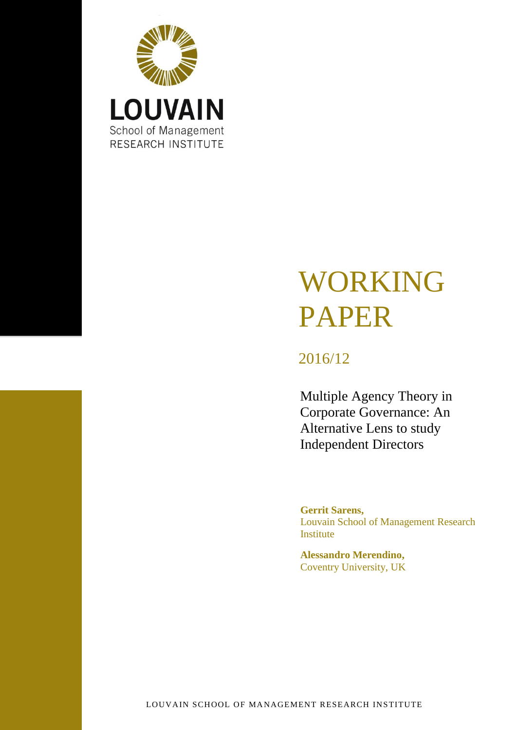

# WORKING PAPER

# 2016/12

Multiple Agency Theory in Corporate Governance: An Alternative Lens to study Independent Directors

**Gerrit Sarens,** Louvain School of Management Research Institute

**Alessandro Merendino,** Coventry University, UK

LOUVAIN SCHOOL OF MANAGEMENT RESEARCH INSTITUTE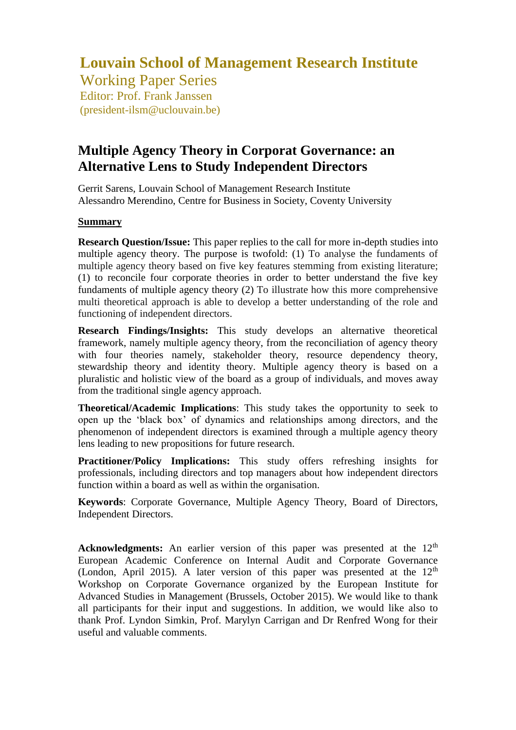# **Louvain School of Management Research Institute**

Working Paper Series Editor: Prof. Frank Janssen (president-ilsm@uclouvain.be)

## **Multiple Agency Theory in Corporat Governance: an Alternative Lens to Study Independent Directors**

Gerrit Sarens, Louvain School of Management Research Institute Alessandro Merendino, Centre for Business in Society, Coventy University

#### **Summary**

**Research Question/Issue:** This paper replies to the call for more in-depth studies into multiple agency theory. The purpose is twofold: (1) To analyse the fundaments of multiple agency theory based on five key features stemming from existing literature; (1) to reconcile four corporate theories in order to better understand the five key fundaments of multiple agency theory (2) To illustrate how this more comprehensive multi theoretical approach is able to develop a better understanding of the role and functioning of independent directors.

**Research Findings/Insights:** This study develops an alternative theoretical framework, namely multiple agency theory, from the reconciliation of agency theory with four theories namely, stakeholder theory, resource dependency theory, stewardship theory and identity theory. Multiple agency theory is based on a pluralistic and holistic view of the board as a group of individuals, and moves away from the traditional single agency approach.

**Theoretical/Academic Implications**: This study takes the opportunity to seek to open up the 'black box' of dynamics and relationships among directors, and the phenomenon of independent directors is examined through a multiple agency theory lens leading to new propositions for future research.

**Practitioner/Policy Implications:** This study offers refreshing insights for professionals, including directors and top managers about how independent directors function within a board as well as within the organisation.

**Keywords**: Corporate Governance, Multiple Agency Theory, Board of Directors, Independent Directors.

**Acknowledgments:** An earlier version of this paper was presented at the 12<sup>th</sup> European Academic Conference on Internal Audit and Corporate Governance (London, April 2015). A later version of this paper was presented at the  $12<sup>th</sup>$ Workshop on Corporate Governance organized by the European Institute for Advanced Studies in Management (Brussels, October 2015). We would like to thank all participants for their input and suggestions. In addition, we would like also to thank Prof. Lyndon Simkin, Prof. Marylyn Carrigan and Dr Renfred Wong for their useful and valuable comments.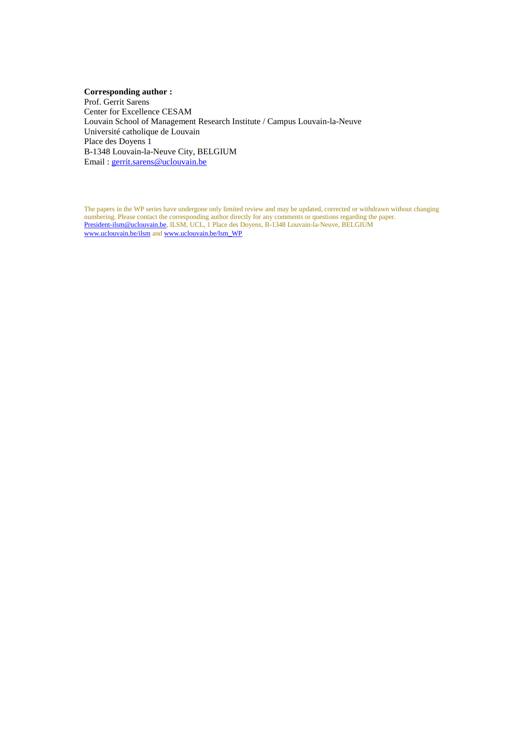#### **Corresponding author :**

Prof. Gerrit Sarens Center for Excellence CESAM Louvain School of Management Research Institute / Campus Louvain-la-Neuve Université catholique de Louvain Place des Doyens 1 B-1348 Louvain-la-Neuve City, BELGIUM Email : [gerrit.sarens@uclouvain.be](mailto:gerrit.sarens@uclouvain.be)

The papers in the WP series have undergone only limited review and may be updated, corrected or withdrawn without changing numbering. Please contact the corresponding author directly for any comments or questions regarding the paper. [President-ilsm@uclouvain.be,](mailto:President-ilsm@uclouvain.be) ILSM, UCL, 1 Place des Doyens, B-1348 Louvain-la-Neuve, BELGIUM [www.uclouvain.be/ilsm](http://www.uclouvain.be/ilsm) and www.uclouvain.be/lsm\_WP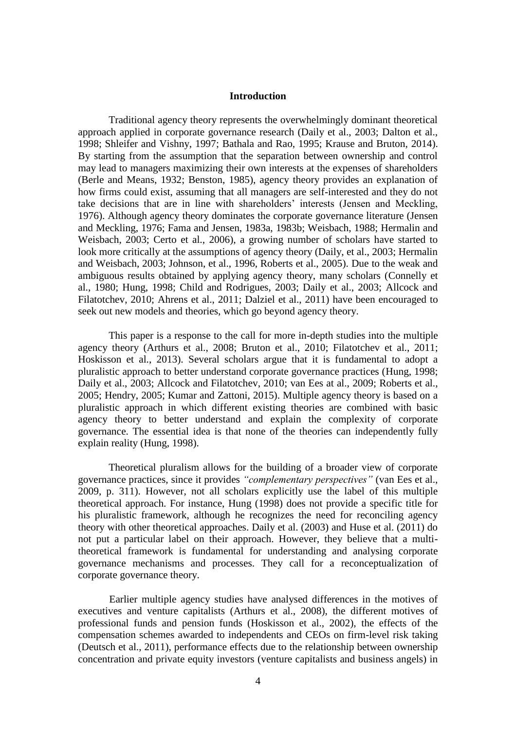#### **Introduction**

Traditional agency theory represents the overwhelmingly dominant theoretical approach applied in corporate governance research (Daily et al., 2003; Dalton et al., 1998; Shleifer and Vishny, 1997; Bathala and Rao, 1995; Krause and Bruton, 2014). By starting from the assumption that the separation between ownership and control may lead to managers maximizing their own interests at the expenses of shareholders (Berle and Means, 1932; Benston, 1985), agency theory provides an explanation of how firms could exist, assuming that all managers are self-interested and they do not take decisions that are in line with shareholders' interests (Jensen and Meckling, 1976). Although agency theory dominates the corporate governance literature (Jensen and Meckling, 1976; Fama and Jensen, 1983a, 1983b; Weisbach, 1988; Hermalin and Weisbach, 2003; Certo et al., 2006), a growing number of scholars have started to look more critically at the assumptions of agency theory (Daily, et al., 2003; Hermalin and Weisbach, 2003; Johnson, et al., 1996, Roberts et al., 2005). Due to the weak and ambiguous results obtained by applying agency theory, many scholars (Connelly et al., 1980; Hung, 1998; Child and Rodrigues, 2003; Daily et al., 2003; Allcock and Filatotchev, 2010; Ahrens et al., 2011; Dalziel et al., 2011) have been encouraged to seek out new models and theories, which go beyond agency theory.

This paper is a response to the call for more in-depth studies into the multiple agency theory (Arthurs et al., 2008; Bruton et al., 2010; Filatotchev et al., 2011; Hoskisson et al., 2013). Several scholars argue that it is fundamental to adopt a pluralistic approach to better understand corporate governance practices (Hung, 1998; Daily et al., 2003; Allcock and Filatotchev, 2010; van Ees at al., 2009; Roberts et al., 2005; Hendry, 2005; Kumar and Zattoni, 2015). Multiple agency theory is based on a pluralistic approach in which different existing theories are combined with basic agency theory to better understand and explain the complexity of corporate governance. The essential idea is that none of the theories can independently fully explain reality (Hung, 1998).

Theoretical pluralism allows for the building of a broader view of corporate governance practices, since it provides *"complementary perspectives"* (van Ees et al., 2009, p. 311). However, not all scholars explicitly use the label of this multiple theoretical approach. For instance, Hung (1998) does not provide a specific title for his pluralistic framework, although he recognizes the need for reconciling agency theory with other theoretical approaches. Daily et al. (2003) and Huse et al. (2011) do not put a particular label on their approach. However, they believe that a multitheoretical framework is fundamental for understanding and analysing corporate governance mechanisms and processes. They call for a reconceptualization of corporate governance theory.

Earlier multiple agency studies have analysed differences in the motives of executives and venture capitalists (Arthurs et al., 2008), the different motives of professional funds and pension funds (Hoskisson et al., 2002), the effects of the compensation schemes awarded to independents and CEOs on firm-level risk taking (Deutsch et al., 2011), performance effects due to the relationship between ownership concentration and private equity investors (venture capitalists and business angels) in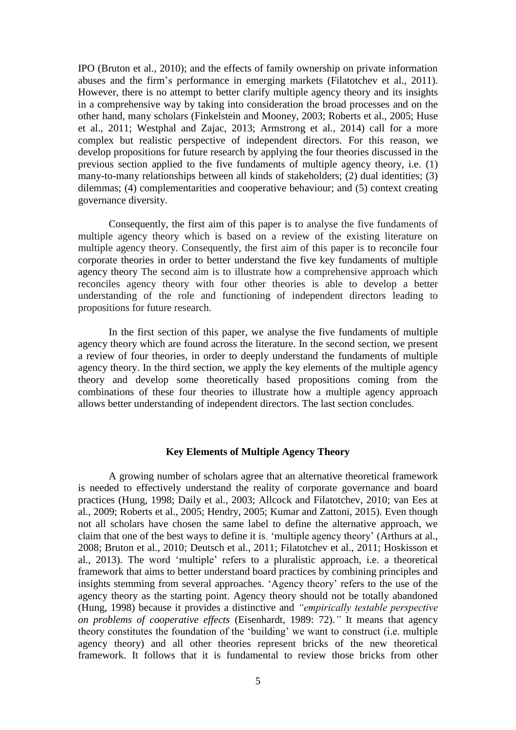IPO (Bruton et al., 2010); and the effects of family ownership on private information abuses and the firm's performance in emerging markets (Filatotchev et al., 2011). However, there is no attempt to better clarify multiple agency theory and its insights in a comprehensive way by taking into consideration the broad processes and on the other hand, many scholars (Finkelstein and Mooney, 2003; Roberts et al., 2005; Huse et al., 2011; Westphal and Zajac, 2013; Armstrong et al., 2014) call for a more complex but realistic perspective of independent directors. For this reason, we develop propositions for future research by applying the four theories discussed in the previous section applied to the five fundaments of multiple agency theory, i.e. (1) many-to-many relationships between all kinds of stakeholders; (2) dual identities; (3) dilemmas; (4) complementarities and cooperative behaviour; and (5) context creating governance diversity.

Consequently, the first aim of this paper is to analyse the five fundaments of multiple agency theory which is based on a review of the existing literature on multiple agency theory. Consequently, the first aim of this paper is to reconcile four corporate theories in order to better understand the five key fundaments of multiple agency theory The second aim is to illustrate how a comprehensive approach which reconciles agency theory with four other theories is able to develop a better understanding of the role and functioning of independent directors leading to propositions for future research.

In the first section of this paper, we analyse the five fundaments of multiple agency theory which are found across the literature. In the second section, we present a review of four theories, in order to deeply understand the fundaments of multiple agency theory. In the third section, we apply the key elements of the multiple agency theory and develop some theoretically based propositions coming from the combinations of these four theories to illustrate how a multiple agency approach allows better understanding of independent directors. The last section concludes.

#### **Key Elements of Multiple Agency Theory**

A growing number of scholars agree that an alternative theoretical framework is needed to effectively understand the reality of corporate governance and board practices (Hung, 1998; Daily et al., 2003; Allcock and Filatotchev, 2010; van Ees at al., 2009; Roberts et al., 2005; Hendry, 2005; Kumar and Zattoni, 2015). Even though not all scholars have chosen the same label to define the alternative approach, we claim that one of the best ways to define it is, 'multiple agency theory' (Arthurs at al., 2008; Bruton et al., 2010; Deutsch et al., 2011; Filatotchev et al., 2011; Hoskisson et al., 2013). The word 'multiple' refers to a pluralistic approach, i.e. a theoretical framework that aims to better understand board practices by combining principles and insights stemming from several approaches. 'Agency theory' refers to the use of the agency theory as the starting point. Agency theory should not be totally abandoned (Hung, 1998) because it provides a distinctive and *"empirically testable perspective on problems of cooperative effects* (Eisenhardt, 1989: 72).*"* It means that agency theory constitutes the foundation of the 'building' we want to construct (i.e. multiple agency theory) and all other theories represent bricks of the new theoretical framework. It follows that it is fundamental to review those bricks from other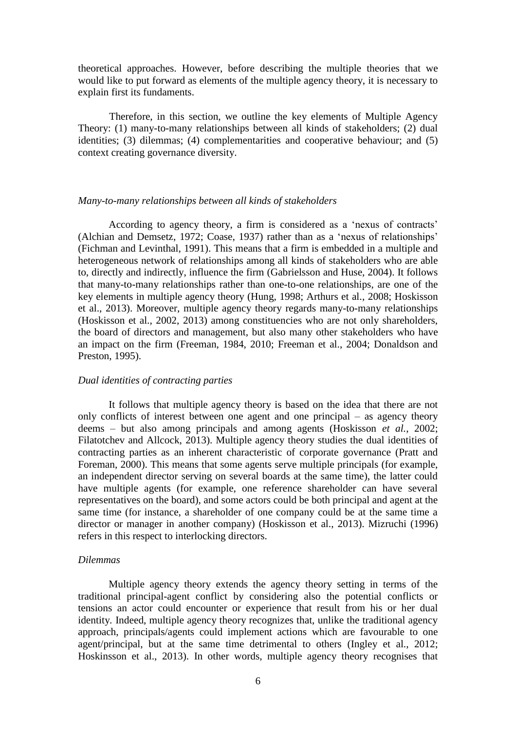theoretical approaches. However, before describing the multiple theories that we would like to put forward as elements of the multiple agency theory, it is necessary to explain first its fundaments.

Therefore, in this section, we outline the key elements of Multiple Agency Theory: (1) many-to-many relationships between all kinds of stakeholders; (2) dual identities; (3) dilemmas; (4) complementarities and cooperative behaviour; and (5) context creating governance diversity.

#### *Many-to-many relationships between all kinds of stakeholders*

According to agency theory, a firm is considered as a 'nexus of contracts' (Alchian and Demsetz, 1972; Coase, 1937) rather than as a 'nexus of relationships' (Fichman and Levinthal, 1991). This means that a firm is embedded in a multiple and heterogeneous network of relationships among all kinds of stakeholders who are able to, directly and indirectly, influence the firm (Gabrielsson and Huse, 2004). It follows that many-to-many relationships rather than one-to-one relationships, are one of the key elements in multiple agency theory (Hung, 1998; Arthurs et al., 2008; Hoskisson et al., 2013). Moreover, multiple agency theory regards many-to-many relationships (Hoskisson et al., 2002, 2013) among constituencies who are not only shareholders, the board of directors and management, but also many other stakeholders who have an impact on the firm (Freeman, 1984, 2010; Freeman et al., 2004; Donaldson and Preston, 1995).

#### *Dual identities of contracting parties*

It follows that multiple agency theory is based on the idea that there are not only conflicts of interest between one agent and one principal – as agency theory deems – but also among principals and among agents (Hoskisson *et al.*, 2002; Filatotchev and Allcock, 2013). Multiple agency theory studies the dual identities of contracting parties as an inherent characteristic of corporate governance (Pratt and Foreman, 2000). This means that some agents serve multiple principals (for example, an independent director serving on several boards at the same time), the latter could have multiple agents (for example, one reference shareholder can have several representatives on the board), and some actors could be both principal and agent at the same time (for instance, a shareholder of one company could be at the same time a director or manager in another company) (Hoskisson et al., 2013). Mizruchi (1996) refers in this respect to interlocking directors.

#### *Dilemmas*

Multiple agency theory extends the agency theory setting in terms of the traditional principal-agent conflict by considering also the potential conflicts or tensions an actor could encounter or experience that result from his or her dual identity*.* Indeed, multiple agency theory recognizes that, unlike the traditional agency approach, principals/agents could implement actions which are favourable to one agent/principal, but at the same time detrimental to others (Ingley et al., 2012; Hoskinsson et al., 2013). In other words, multiple agency theory recognises that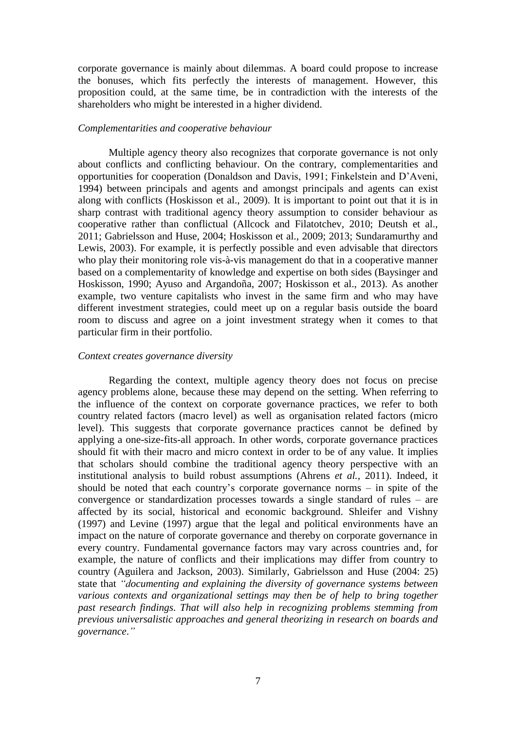corporate governance is mainly about dilemmas. A board could propose to increase the bonuses, which fits perfectly the interests of management. However, this proposition could, at the same time, be in contradiction with the interests of the shareholders who might be interested in a higher dividend.

#### *Complementarities and cooperative behaviour*

Multiple agency theory also recognizes that corporate governance is not only about conflicts and conflicting behaviour. On the contrary, complementarities and opportunities for cooperation (Donaldson and Davis, 1991; Finkelstein and D'Aveni, 1994) between principals and agents and amongst principals and agents can exist along with conflicts (Hoskisson et al., 2009). It is important to point out that it is in sharp contrast with traditional agency theory assumption to consider behaviour as cooperative rather than conflictual (Allcock and Filatotchev, 2010; Deutsh et al., 2011; Gabrielsson and Huse, 2004; Hoskisson et al., 2009; 2013; Sundaramurthy and Lewis, 2003). For example, it is perfectly possible and even advisable that directors who play their monitoring role vis-à-vis management do that in a cooperative manner based on a complementarity of knowledge and expertise on both sides (Baysinger and Hoskisson, 1990; Ayuso and Argandoña, 2007; Hoskisson et al., 2013). As another example, two venture capitalists who invest in the same firm and who may have different investment strategies, could meet up on a regular basis outside the board room to discuss and agree on a joint investment strategy when it comes to that particular firm in their portfolio.

#### *Context creates governance diversity*

Regarding the context, multiple agency theory does not focus on precise agency problems alone, because these may depend on the setting. When referring to the influence of the context on corporate governance practices, we refer to both country related factors (macro level) as well as organisation related factors (micro level). This suggests that corporate governance practices cannot be defined by applying a one-size-fits-all approach. In other words, corporate governance practices should fit with their macro and micro context in order to be of any value. It implies that scholars should combine the traditional agency theory perspective with an institutional analysis to build robust assumptions (Ahrens *et al.*, 2011). Indeed, it should be noted that each country's corporate governance norms – in spite of the convergence or standardization processes towards a single standard of rules – are affected by its social, historical and economic background. Shleifer and Vishny (1997) and Levine (1997) argue that the legal and political environments have an impact on the nature of corporate governance and thereby on corporate governance in every country. Fundamental governance factors may vary across countries and, for example, the nature of conflicts and their implications may differ from country to country (Aguilera and Jackson, 2003). Similarly, Gabrielsson and Huse (2004: 25) state that *"documenting and explaining the diversity of governance systems between various contexts and organizational settings may then be of help to bring together past research findings. That will also help in recognizing problems stemming from previous universalistic approaches and general theorizing in research on boards and governance*.*"*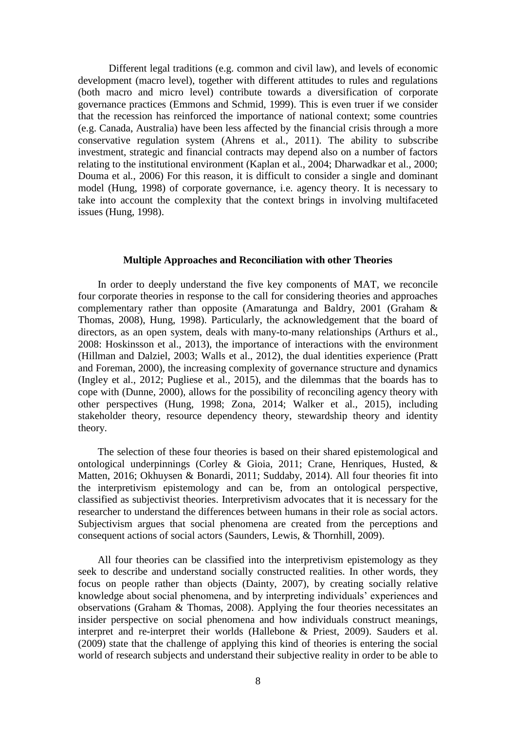Different legal traditions (e.g. common and civil law), and levels of economic development (macro level), together with different attitudes to rules and regulations (both macro and micro level) contribute towards a diversification of corporate governance practices (Emmons and Schmid, 1999). This is even truer if we consider that the recession has reinforced the importance of national context; some countries (e.g. Canada, Australia) have been less affected by the financial crisis through a more conservative regulation system (Ahrens et al., 2011). The ability to subscribe investment, strategic and financial contracts may depend also on a number of factors relating to the institutional environment (Kaplan et al., 2004; Dharwadkar et al., 2000; Douma et al*.*, 2006) For this reason, it is difficult to consider a single and dominant model (Hung, 1998) of corporate governance, i.e. agency theory. It is necessary to take into account the complexity that the context brings in involving multifaceted issues (Hung, 1998).

#### **Multiple Approaches and Reconciliation with other Theories**

In order to deeply understand the five key components of MAT, we reconcile four corporate theories in response to the call for considering theories and approaches complementary rather than opposite (Amaratunga and Baldry, 2001 (Graham & Thomas, 2008), Hung, 1998). Particularly, the acknowledgement that the board of directors, as an open system, deals with many-to-many relationships (Arthurs et al., 2008: Hoskinsson et al., 2013), the importance of interactions with the environment (Hillman and Dalziel, 2003; Walls et al., 2012), the dual identities experience (Pratt and Foreman, 2000), the increasing complexity of governance structure and dynamics (Ingley et al., 2012; Pugliese et al., 2015), and the dilemmas that the boards has to cope with (Dunne, 2000), allows for the possibility of reconciling agency theory with other perspectives (Hung, 1998; Zona, 2014; Walker et al., 2015), including stakeholder theory, resource dependency theory, stewardship theory and identity theory.

The selection of these four theories is based on their shared epistemological and ontological underpinnings (Corley & Gioia, 2011; Crane, Henriques, Husted, & Matten, 2016; Okhuysen & Bonardi, 2011; Suddaby, 2014). All four theories fit into the interpretivism epistemology and can be, from an ontological perspective, classified as subjectivist theories. Interpretivism advocates that it is necessary for the researcher to understand the differences between humans in their role as social actors. Subjectivism argues that social phenomena are created from the perceptions and consequent actions of social actors (Saunders, Lewis, & Thornhill, 2009).

All four theories can be classified into the interpretivism epistemology as they seek to describe and understand socially constructed realities. In other words, they focus on people rather than objects (Dainty, 2007), by creating socially relative knowledge about social phenomena, and by interpreting individuals' experiences and observations (Graham & Thomas, 2008). Applying the four theories necessitates an insider perspective on social phenomena and how individuals construct meanings, interpret and re-interpret their worlds (Hallebone & Priest, 2009). Sauders et al. (2009) state that the challenge of applying this kind of theories is entering the social world of research subjects and understand their subjective reality in order to be able to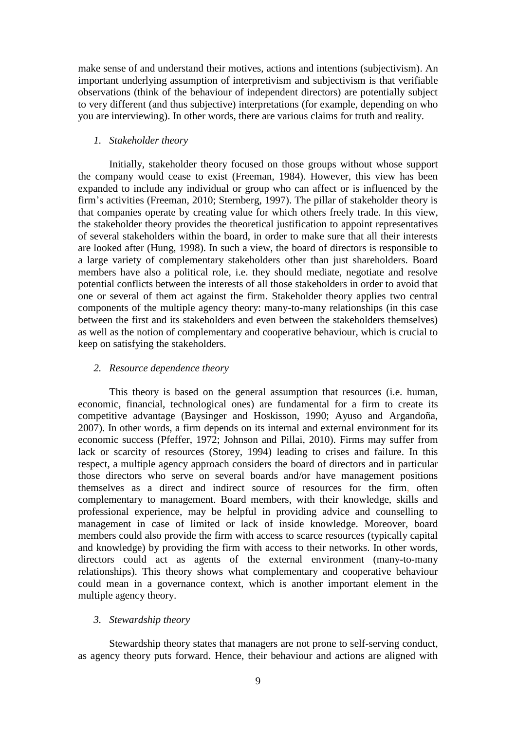make sense of and understand their motives, actions and intentions (subjectivism). An important underlying assumption of interpretivism and subjectivism is that verifiable observations (think of the behaviour of independent directors) are potentially subject to very different (and thus subjective) interpretations (for example, depending on who you are interviewing). In other words, there are various claims for truth and reality.

#### *1. Stakeholder theory*

Initially, stakeholder theory focused on those groups without whose support the company would cease to exist (Freeman, 1984). However, this view has been expanded to include any individual or group who can affect or is influenced by the firm's activities (Freeman, 2010; Sternberg, 1997). The pillar of stakeholder theory is that companies operate by creating value for which others freely trade. In this view, the stakeholder theory provides the theoretical justification to appoint representatives of several stakeholders within the board, in order to make sure that all their interests are looked after (Hung, 1998). In such a view, the board of directors is responsible to a large variety of complementary stakeholders other than just shareholders. Board members have also a political role, i.e. they should mediate, negotiate and resolve potential conflicts between the interests of all those stakeholders in order to avoid that one or several of them act against the firm. Stakeholder theory applies two central components of the multiple agency theory: many-to-many relationships (in this case between the first and its stakeholders and even between the stakeholders themselves) as well as the notion of complementary and cooperative behaviour, which is crucial to keep on satisfying the stakeholders.

#### *2. Resource dependence theory*

This theory is based on the general assumption that resources (i.e. human, economic, financial, technological ones) are fundamental for a firm to create its competitive advantage (Baysinger and Hoskisson, 1990; Ayuso and Argandoña, 2007). In other words, a firm depends on its internal and external environment for its economic success (Pfeffer, 1972; Johnson and Pillai, 2010). Firms may suffer from lack or scarcity of resources (Storey, 1994) leading to crises and failure. In this respect, a multiple agency approach considers the board of directors and in particular those directors who serve on several boards and/or have management positions themselves as a direct and indirect source of resources for the firm, often complementary to management. Board members, with their knowledge, skills and professional experience, may be helpful in providing advice and counselling to management in case of limited or lack of inside knowledge. Moreover, board members could also provide the firm with access to scarce resources (typically capital and knowledge) by providing the firm with access to their networks. In other words, directors could act as agents of the external environment (many-to-many relationships). This theory shows what complementary and cooperative behaviour could mean in a governance context, which is another important element in the multiple agency theory.

#### *3. Stewardship theory*

Stewardship theory states that managers are not prone to self-serving conduct, as agency theory puts forward. Hence, their behaviour and actions are aligned with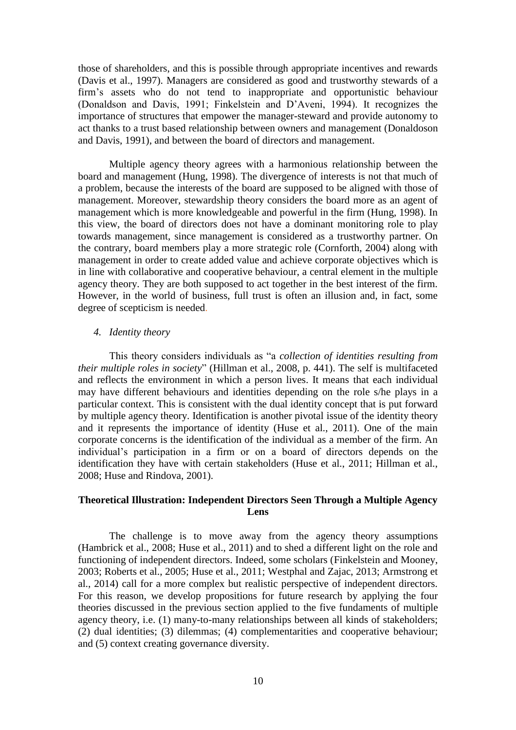those of shareholders, and this is possible through appropriate incentives and rewards (Davis et al., 1997). Managers are considered as good and trustworthy stewards of a firm's assets who do not tend to inappropriate and opportunistic behaviour (Donaldson and Davis, 1991; Finkelstein and D'Aveni, 1994). It recognizes the importance of structures that empower the manager-steward and provide autonomy to act thanks to a trust based relationship between owners and management (Donaldoson and Davis, 1991), and between the board of directors and management.

Multiple agency theory agrees with a harmonious relationship between the board and management (Hung, 1998). The divergence of interests is not that much of a problem, because the interests of the board are supposed to be aligned with those of management. Moreover, stewardship theory considers the board more as an agent of management which is more knowledgeable and powerful in the firm (Hung, 1998). In this view, the board of directors does not have a dominant monitoring role to play towards management, since management is considered as a trustworthy partner. On the contrary, board members play a more strategic role (Cornforth, 2004) along with management in order to create added value and achieve corporate objectives which is in line with collaborative and cooperative behaviour, a central element in the multiple agency theory. They are both supposed to act together in the best interest of the firm. However, in the world of business, full trust is often an illusion and, in fact, some degree of scepticism is needed.

#### *4. Identity theory*

This theory considers individuals as "a *collection of identities resulting from their multiple roles in society*" (Hillman et al., 2008, p. 441). The self is multifaceted and reflects the environment in which a person lives. It means that each individual may have different behaviours and identities depending on the role s/he plays in a particular context. This is consistent with the dual identity concept that is put forward by multiple agency theory. Identification is another pivotal issue of the identity theory and it represents the importance of identity (Huse et al., 2011). One of the main corporate concerns is the identification of the individual as a member of the firm. An individual's participation in a firm or on a board of directors depends on the identification they have with certain stakeholders (Huse et al., 2011; Hillman et al., 2008; Huse and Rindova, 2001).

#### **Theoretical Illustration: Independent Directors Seen Through a Multiple Agency Lens**

The challenge is to move away from the agency theory assumptions (Hambrick et al., 2008; Huse et al., 2011) and to shed a different light on the role and functioning of independent directors. Indeed, some scholars (Finkelstein and Mooney, 2003; Roberts et al., 2005; Huse et al., 2011; Westphal and Zajac, 2013; Armstrong et al., 2014) call for a more complex but realistic perspective of independent directors. For this reason, we develop propositions for future research by applying the four theories discussed in the previous section applied to the five fundaments of multiple agency theory, i.e. (1) many-to-many relationships between all kinds of stakeholders; (2) dual identities; (3) dilemmas; (4) complementarities and cooperative behaviour; and (5) context creating governance diversity.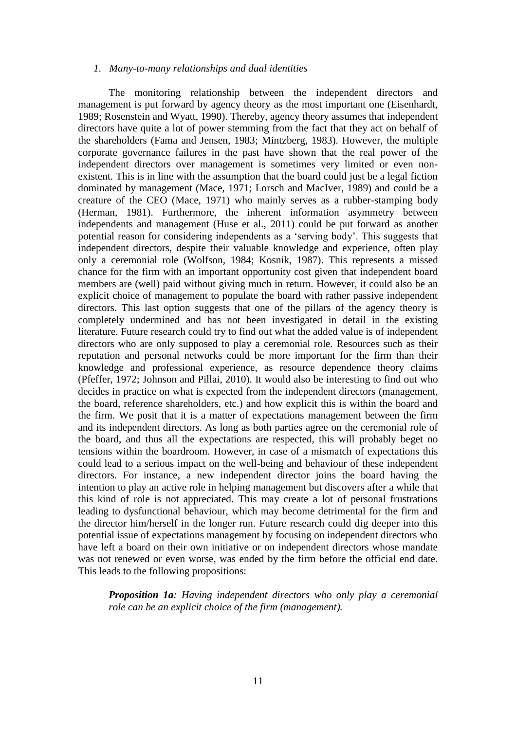#### *1. Many-to-many relationships and dual identities*

The monitoring relationship between the independent directors and management is put forward by agency theory as the most important one (Eisenhardt, 1989; Rosenstein and Wyatt, 1990). Thereby, agency theory assumes that independent directors have quite a lot of power stemming from the fact that they act on behalf of the shareholders (Fama and Jensen, 1983; Mintzberg, 1983). However, the multiple corporate governance failures in the past have shown that the real power of the independent directors over management is sometimes very limited or even nonexistent. This is in line with the assumption that the board could just be a legal fiction dominated by management (Mace, 1971; Lorsch and MacIver, 1989) and could be a creature of the CEO (Mace, 1971) who mainly serves as a rubber-stamping body (Herman, 1981). Furthermore, the inherent information asymmetry between independents and management (Huse et al., 2011) could be put forward as another potential reason for considering independents as a 'serving body'. This suggests that independent directors, despite their valuable knowledge and experience, often play only a ceremonial role (Wolfson, 1984; Kosnik, 1987). This represents a missed chance for the firm with an important opportunity cost given that independent board members are (well) paid without giving much in return. However, it could also be an explicit choice of management to populate the board with rather passive independent directors. This last option suggests that one of the pillars of the agency theory is completely undermined and has not been investigated in detail in the existing literature. Future research could try to find out what the added value is of independent directors who are only supposed to play a ceremonial role. Resources such as their reputation and personal networks could be more important for the firm than their knowledge and professional experience, as resource dependence theory claims (Pfeffer, 1972; Johnson and Pillai, 2010). It would also be interesting to find out who decides in practice on what is expected from the independent directors (management, the board, reference shareholders, etc.) and how explicit this is within the board and the firm. We posit that it is a matter of expectations management between the firm and its independent directors. As long as both parties agree on the ceremonial role of the board, and thus all the expectations are respected, this will probably beget no tensions within the boardroom. However, in case of a mismatch of expectations this could lead to a serious impact on the well-being and behaviour of these independent directors. For instance, a new independent director joins the board having the intention to play an active role in helping management but discovers after a while that this kind of role is not appreciated. This may create a lot of personal frustrations leading to dysfunctional behaviour, which may become detrimental for the firm and the director him/herself in the longer run. Future research could dig deeper into this potential issue of expectations management by focusing on independent directors who have left a board on their own initiative or on independent directors whose mandate was not renewed or even worse, was ended by the firm before the official end date. This leads to the following propositions:

*Proposition 1a: Having independent directors who only play a ceremonial role can be an explicit choice of the firm (management).*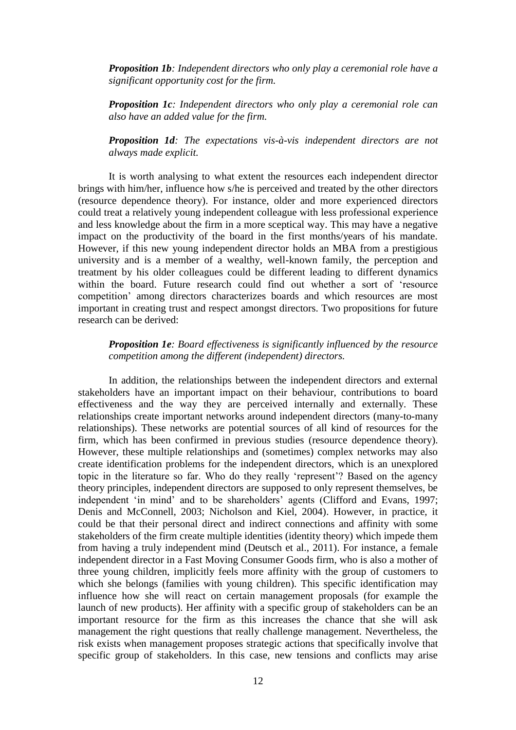*Proposition 1b: Independent directors who only play a ceremonial role have a significant opportunity cost for the firm.* 

*Proposition 1c: Independent directors who only play a ceremonial role can also have an added value for the firm.* 

*Proposition 1d: The expectations vis-à-vis independent directors are not always made explicit.* 

It is worth analysing to what extent the resources each independent director brings with him/her, influence how s/he is perceived and treated by the other directors (resource dependence theory). For instance, older and more experienced directors could treat a relatively young independent colleague with less professional experience and less knowledge about the firm in a more sceptical way. This may have a negative impact on the productivity of the board in the first months/years of his mandate. However, if this new young independent director holds an MBA from a prestigious university and is a member of a wealthy, well-known family, the perception and treatment by his older colleagues could be different leading to different dynamics within the board. Future research could find out whether a sort of 'resource competition' among directors characterizes boards and which resources are most important in creating trust and respect amongst directors. Two propositions for future research can be derived:

#### *Proposition 1e: Board effectiveness is significantly influenced by the resource competition among the different (independent) directors.*

In addition, the relationships between the independent directors and external stakeholders have an important impact on their behaviour, contributions to board effectiveness and the way they are perceived internally and externally. These relationships create important networks around independent directors (many-to-many relationships). These networks are potential sources of all kind of resources for the firm, which has been confirmed in previous studies (resource dependence theory). However, these multiple relationships and (sometimes) complex networks may also create identification problems for the independent directors, which is an unexplored topic in the literature so far. Who do they really 'represent'? Based on the agency theory principles, independent directors are supposed to only represent themselves, be independent 'in mind' and to be shareholders' agents (Clifford and Evans, 1997; Denis and McConnell, 2003; Nicholson and Kiel, 2004). However, in practice, it could be that their personal direct and indirect connections and affinity with some stakeholders of the firm create multiple identities (identity theory) which impede them from having a truly independent mind (Deutsch et al., 2011). For instance, a female independent director in a Fast Moving Consumer Goods firm, who is also a mother of three young children, implicitly feels more affinity with the group of customers to which she belongs (families with young children). This specific identification may influence how she will react on certain management proposals (for example the launch of new products). Her affinity with a specific group of stakeholders can be an important resource for the firm as this increases the chance that she will ask management the right questions that really challenge management. Nevertheless, the risk exists when management proposes strategic actions that specifically involve that specific group of stakeholders. In this case, new tensions and conflicts may arise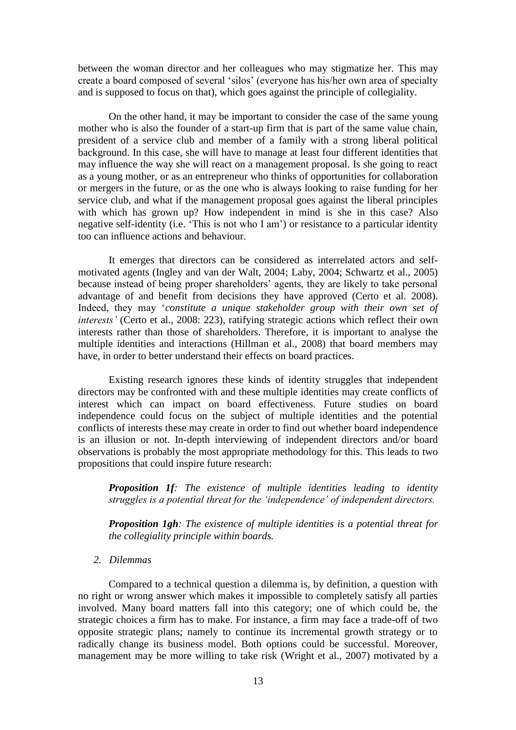between the woman director and her colleagues who may stigmatize her. This may create a board composed of several 'silos' (everyone has his/her own area of specialty and is supposed to focus on that), which goes against the principle of collegiality.

On the other hand, it may be important to consider the case of the same young mother who is also the founder of a start-up firm that is part of the same value chain, president of a service club and member of a family with a strong liberal political background. In this case, she will have to manage at least four different identities that may influence the way she will react on a management proposal. Is she going to react as a young mother, or as an entrepreneur who thinks of opportunities for collaboration or mergers in the future, or as the one who is always looking to raise funding for her service club, and what if the management proposal goes against the liberal principles with which has grown up? How independent in mind is she in this case? Also negative self-identity (i.e. 'This is not who I am') or resistance to a particular identity too can influence actions and behaviour.

It emerges that directors can be considered as interrelated actors and selfmotivated agents (Ingley and van der Walt, 2004; Laby, 2004; Schwartz et al., 2005) because instead of being proper shareholders' agents, they are likely to take personal advantage of and benefit from decisions they have approved (Certo et al. 2008). Indeed, they may '*constitute a unique stakeholder group with their own set of interests'* (Certo et al., 2008: 223), ratifying strategic actions which reflect their own interests rather than those of shareholders. Therefore, it is important to analyse the multiple identities and interactions (Hillman et al., 2008) that board members may have, in order to better understand their effects on board practices.

Existing research ignores these kinds of identity struggles that independent directors may be confronted with and these multiple identities may create conflicts of interest which can impact on board effectiveness. Future studies on board independence could focus on the subject of multiple identities and the potential conflicts of interests these may create in order to find out whether board independence is an illusion or not. In-depth interviewing of independent directors and/or board observations is probably the most appropriate methodology for this. This leads to two propositions that could inspire future research:

*Proposition 1f: The existence of multiple identities leading to identity struggles is a potential threat for the 'independence' of independent directors.* 

*Proposition 1gh: The existence of multiple identities is a potential threat for the collegiality principle within boards.* 

*2. Dilemmas*

Compared to a technical question a dilemma is, by definition, a question with no right or wrong answer which makes it impossible to completely satisfy all parties involved. Many board matters fall into this category; one of which could be, the strategic choices a firm has to make. For instance, a firm may face a trade-off of two opposite strategic plans; namely to continue its incremental growth strategy or to radically change its business model. Both options could be successful. Moreover, management may be more willing to take risk (Wright et al., 2007) motivated by a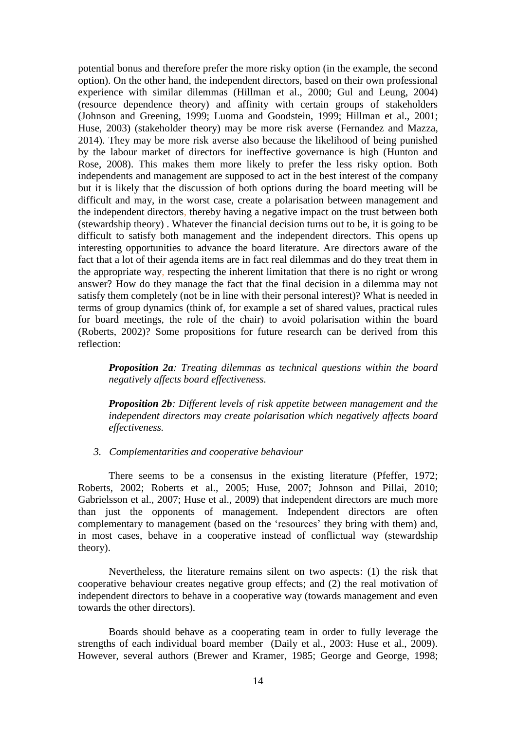potential bonus and therefore prefer the more risky option (in the example, the second option). On the other hand, the independent directors, based on their own professional experience with similar dilemmas (Hillman et al., 2000; Gul and Leung, 2004) (resource dependence theory) and affinity with certain groups of stakeholders (Johnson and Greening, 1999; Luoma and Goodstein, 1999; Hillman et al., 2001; Huse, 2003) (stakeholder theory) may be more risk averse (Fernandez and Mazza, 2014). They may be more risk averse also because the likelihood of being punished by the labour market of directors for ineffective governance is high (Hunton and Rose, 2008). This makes them more likely to prefer the less risky option. Both independents and management are supposed to act in the best interest of the company but it is likely that the discussion of both options during the board meeting will be difficult and may, in the worst case, create a polarisation between management and the independent directors, thereby having a negative impact on the trust between both (stewardship theory) . Whatever the financial decision turns out to be, it is going to be difficult to satisfy both management and the independent directors. This opens up interesting opportunities to advance the board literature. Are directors aware of the fact that a lot of their agenda items are in fact real dilemmas and do they treat them in the appropriate way, respecting the inherent limitation that there is no right or wrong answer? How do they manage the fact that the final decision in a dilemma may not satisfy them completely (not be in line with their personal interest)? What is needed in terms of group dynamics (think of, for example a set of shared values, practical rules for board meetings, the role of the chair) to avoid polarisation within the board (Roberts, 2002)? Some propositions for future research can be derived from this reflection:

*Proposition 2a: Treating dilemmas as technical questions within the board negatively affects board effectiveness.* 

*Proposition 2b: Different levels of risk appetite between management and the independent directors may create polarisation which negatively affects board effectiveness.* 

#### *3. Complementarities and cooperative behaviour*

There seems to be a consensus in the existing literature (Pfeffer, 1972; Roberts, 2002; Roberts et al., 2005; Huse, 2007; Johnson and Pillai, 2010; Gabrielsson et al., 2007; Huse et al., 2009) that independent directors are much more than just the opponents of management. Independent directors are often complementary to management (based on the 'resources' they bring with them) and, in most cases, behave in a cooperative instead of conflictual way (stewardship theory).

Nevertheless, the literature remains silent on two aspects: (1) the risk that cooperative behaviour creates negative group effects; and (2) the real motivation of independent directors to behave in a cooperative way (towards management and even towards the other directors).

Boards should behave as a cooperating team in order to fully leverage the strengths of each individual board member (Daily et al., 2003: Huse et al., 2009). However, several authors (Brewer and Kramer, 1985; George and George, 1998;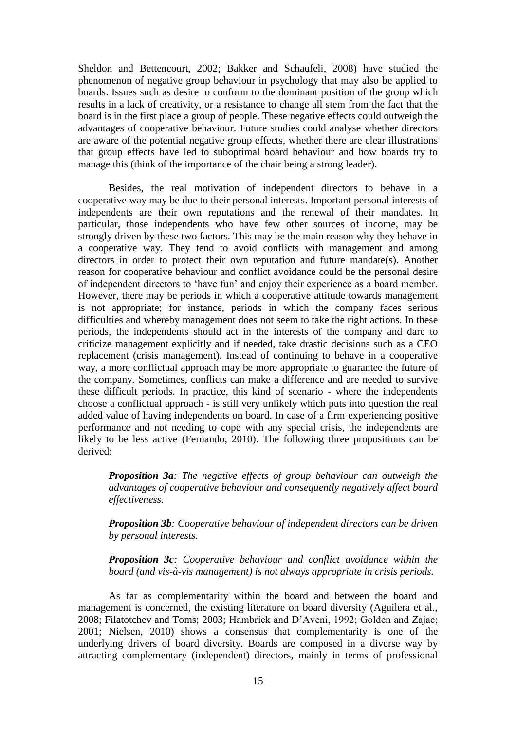Sheldon and Bettencourt, 2002; Bakker and Schaufeli, 2008) have studied the phenomenon of negative group behaviour in psychology that may also be applied to boards. Issues such as desire to conform to the dominant position of the group which results in a lack of creativity, or a resistance to change all stem from the fact that the board is in the first place a group of people. These negative effects could outweigh the advantages of cooperative behaviour. Future studies could analyse whether directors are aware of the potential negative group effects, whether there are clear illustrations that group effects have led to suboptimal board behaviour and how boards try to manage this (think of the importance of the chair being a strong leader).

Besides, the real motivation of independent directors to behave in a cooperative way may be due to their personal interests. Important personal interests of independents are their own reputations and the renewal of their mandates. In particular, those independents who have few other sources of income, may be strongly driven by these two factors. This may be the main reason why they behave in a cooperative way. They tend to avoid conflicts with management and among directors in order to protect their own reputation and future mandate(s). Another reason for cooperative behaviour and conflict avoidance could be the personal desire of independent directors to 'have fun' and enjoy their experience as a board member. However, there may be periods in which a cooperative attitude towards management is not appropriate; for instance, periods in which the company faces serious difficulties and whereby management does not seem to take the right actions. In these periods, the independents should act in the interests of the company and dare to criticize management explicitly and if needed, take drastic decisions such as a CEO replacement (crisis management). Instead of continuing to behave in a cooperative way, a more conflictual approach may be more appropriate to guarantee the future of the company. Sometimes, conflicts can make a difference and are needed to survive these difficult periods. In practice, this kind of scenario - where the independents choose a conflictual approach - is still very unlikely which puts into question the real added value of having independents on board. In case of a firm experiencing positive performance and not needing to cope with any special crisis, the independents are likely to be less active (Fernando, 2010). The following three propositions can be derived:

*Proposition 3a: The negative effects of group behaviour can outweigh the advantages of cooperative behaviour and consequently negatively affect board effectiveness.* 

*Proposition 3b: Cooperative behaviour of independent directors can be driven by personal interests.* 

*Proposition 3c: Cooperative behaviour and conflict avoidance within the board (and vis-à-vis management) is not always appropriate in crisis periods.* 

As far as complementarity within the board and between the board and management is concerned, the existing literature on board diversity (Aguilera et al., 2008; Filatotchev and Toms; 2003; Hambrick and D'Aveni, 1992; Golden and Zajac; 2001; Nielsen, 2010) shows a consensus that complementarity is one of the underlying drivers of board diversity. Boards are composed in a diverse way by attracting complementary (independent) directors, mainly in terms of professional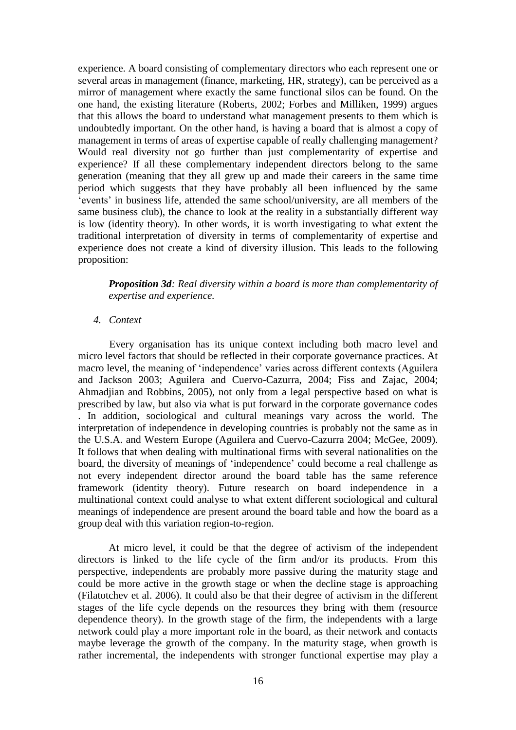experience. A board consisting of complementary directors who each represent one or several areas in management (finance, marketing, HR, strategy), can be perceived as a mirror of management where exactly the same functional silos can be found. On the one hand, the existing literature (Roberts, 2002; Forbes and Milliken, 1999) argues that this allows the board to understand what management presents to them which is undoubtedly important. On the other hand, is having a board that is almost a copy of management in terms of areas of expertise capable of really challenging management? Would real diversity not go further than just complementarity of expertise and experience? If all these complementary independent directors belong to the same generation (meaning that they all grew up and made their careers in the same time period which suggests that they have probably all been influenced by the same 'events' in business life, attended the same school/university, are all members of the same business club), the chance to look at the reality in a substantially different way is low (identity theory). In other words, it is worth investigating to what extent the traditional interpretation of diversity in terms of complementarity of expertise and experience does not create a kind of diversity illusion. This leads to the following proposition:

*Proposition 3d: Real diversity within a board is more than complementarity of expertise and experience.* 

#### *4. Context*

Every organisation has its unique context including both macro level and micro level factors that should be reflected in their corporate governance practices. At macro level, the meaning of 'independence' varies across different contexts (Aguilera and Jackson 2003; Aguilera and Cuervo-Cazurra, 2004; Fiss and Zajac, 2004; Ahmadjian and Robbins, 2005), not only from a legal perspective based on what is prescribed by law, but also via what is put forward in the corporate governance codes . In addition, sociological and cultural meanings vary across the world. The interpretation of independence in developing countries is probably not the same as in the U.S.A. and Western Europe (Aguilera and Cuervo-Cazurra 2004; McGee, 2009). It follows that when dealing with multinational firms with several nationalities on the board, the diversity of meanings of 'independence' could become a real challenge as not every independent director around the board table has the same reference framework (identity theory). Future research on board independence in a multinational context could analyse to what extent different sociological and cultural meanings of independence are present around the board table and how the board as a group deal with this variation region-to-region.

At micro level, it could be that the degree of activism of the independent directors is linked to the life cycle of the firm and/or its products. From this perspective, independents are probably more passive during the maturity stage and could be more active in the growth stage or when the decline stage is approaching (Filatotchev et al. 2006). It could also be that their degree of activism in the different stages of the life cycle depends on the resources they bring with them (resource dependence theory). In the growth stage of the firm, the independents with a large network could play a more important role in the board, as their network and contacts maybe leverage the growth of the company. In the maturity stage, when growth is rather incremental, the independents with stronger functional expertise may play a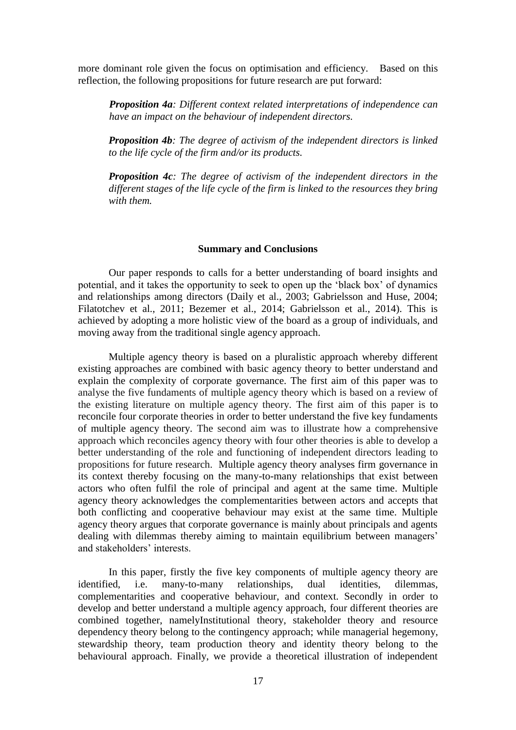more dominant role given the focus on optimisation and efficiency. Based on this reflection, the following propositions for future research are put forward:

*Proposition 4a: Different context related interpretations of independence can have an impact on the behaviour of independent directors.* 

*Proposition 4b: The degree of activism of the independent directors is linked to the life cycle of the firm and/or its products.* 

*Proposition 4c: The degree of activism of the independent directors in the different stages of the life cycle of the firm is linked to the resources they bring with them.*

#### **Summary and Conclusions**

Our paper responds to calls for a better understanding of board insights and potential, and it takes the opportunity to seek to open up the 'black box' of dynamics and relationships among directors (Daily et al., 2003; Gabrielsson and Huse, 2004; Filatotchev et al., 2011; Bezemer et al., 2014; Gabrielsson et al., 2014). This is achieved by adopting a more holistic view of the board as a group of individuals, and moving away from the traditional single agency approach.

Multiple agency theory is based on a pluralistic approach whereby different existing approaches are combined with basic agency theory to better understand and explain the complexity of corporate governance. The first aim of this paper was to analyse the five fundaments of multiple agency theory which is based on a review of the existing literature on multiple agency theory. The first aim of this paper is to reconcile four corporate theories in order to better understand the five key fundaments of multiple agency theory. The second aim was to illustrate how a comprehensive approach which reconciles agency theory with four other theories is able to develop a better understanding of the role and functioning of independent directors leading to propositions for future research. Multiple agency theory analyses firm governance in its context thereby focusing on the many-to-many relationships that exist between actors who often fulfil the role of principal and agent at the same time. Multiple agency theory acknowledges the complementarities between actors and accepts that both conflicting and cooperative behaviour may exist at the same time. Multiple agency theory argues that corporate governance is mainly about principals and agents dealing with dilemmas thereby aiming to maintain equilibrium between managers' and stakeholders' interests.

In this paper, firstly the five key components of multiple agency theory are identified, i.e. many-to-many relationships, dual identities, dilemmas, complementarities and cooperative behaviour, and context. Secondly in order to develop and better understand a multiple agency approach, four different theories are combined together, namelyInstitutional theory, stakeholder theory and resource dependency theory belong to the contingency approach; while managerial hegemony, stewardship theory, team production theory and identity theory belong to the behavioural approach. Finally, we provide a theoretical illustration of independent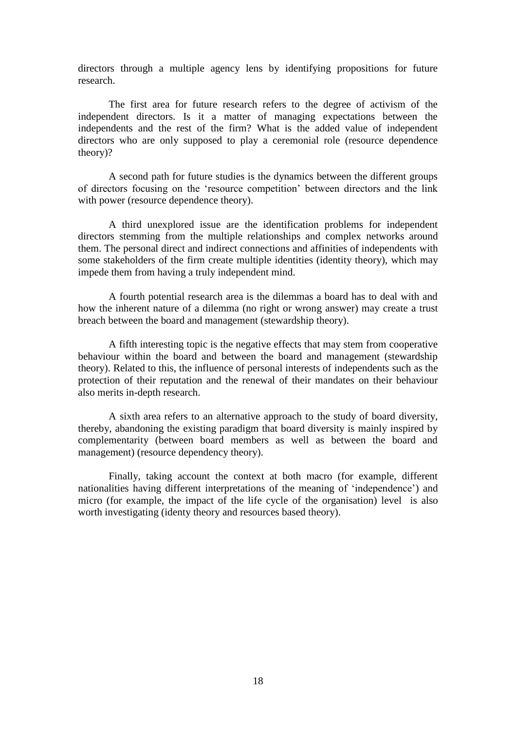directors through a multiple agency lens by identifying propositions for future research.

The first area for future research refers to the degree of activism of the independent directors. Is it a matter of managing expectations between the independents and the rest of the firm? What is the added value of independent directors who are only supposed to play a ceremonial role (resource dependence theory)?

A second path for future studies is the dynamics between the different groups of directors focusing on the 'resource competition' between directors and the link with power (resource dependence theory).

A third unexplored issue are the identification problems for independent directors stemming from the multiple relationships and complex networks around them. The personal direct and indirect connections and affinities of independents with some stakeholders of the firm create multiple identities (identity theory), which may impede them from having a truly independent mind.

A fourth potential research area is the dilemmas a board has to deal with and how the inherent nature of a dilemma (no right or wrong answer) may create a trust breach between the board and management (stewardship theory).

A fifth interesting topic is the negative effects that may stem from cooperative behaviour within the board and between the board and management (stewardship theory). Related to this, the influence of personal interests of independents such as the protection of their reputation and the renewal of their mandates on their behaviour also merits in-depth research.

A sixth area refers to an alternative approach to the study of board diversity, thereby, abandoning the existing paradigm that board diversity is mainly inspired by complementarity (between board members as well as between the board and management) (resource dependency theory).

Finally, taking account the context at both macro (for example, different nationalities having different interpretations of the meaning of 'independence') and micro (for example, the impact of the life cycle of the organisation) level is also worth investigating (identy theory and resources based theory).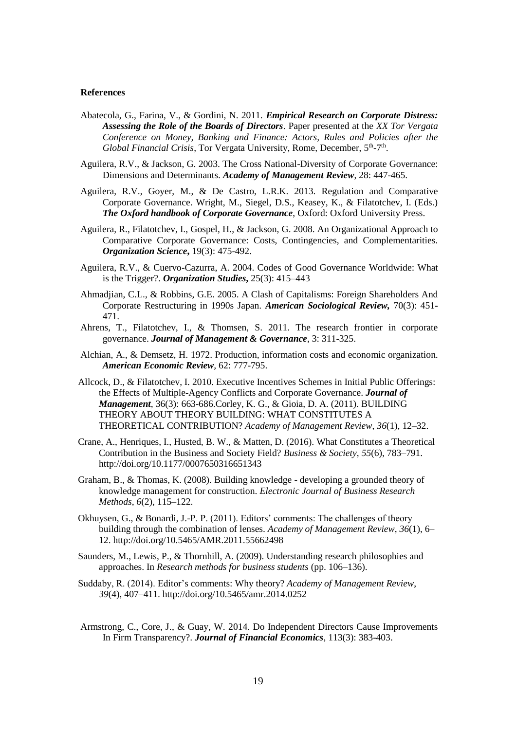#### **References**

- Abatecola, G., Farina, V., & Gordini, N. 2011. *Empirical Research on Corporate Distress: Assessing the Role of the Boards of Directors*. Paper presented at the *XX Tor Vergata Conference on Money, Banking and Finance: Actors, Rules and Policies after the*  Global Financial Crisis, Tor Vergata University, Rome, December, 5<sup>th</sup>-7<sup>th</sup>.
- Aguilera, R.V., & Jackson, G. 2003. The Cross National-Diversity of Corporate Governance: Dimensions and Determinants. *Academy of Management Review*, 28: 447-465.
- Aguilera, R.V., Goyer, M., & De Castro, L.R.K. 2013. Regulation and Comparative Corporate Governance. Wright, M., Siegel, D.S., Keasey, K., & Filatotchev, I. (Eds.) *The Oxford handbook of Corporate Governance*, Oxford: Oxford University Press.
- Aguilera, R., Filatotchev, I., Gospel, H., & Jackson, G. 2008. An Organizational Approach to Comparative Corporate Governance: Costs, Contingencies, and Complementarities. *Organization Science***,** 19(3): 475-492.
- Aguilera, R.V., & Cuervo-Cazurra, A. 2004. Codes of Good Governance Worldwide: What is the Trigger?. *Organization Studies***,** 25(3): 415–443
- Ahmadjian, C.L., & Robbins, G.E. 2005. A Clash of Capitalisms: Foreign Shareholders And Corporate Restructuring in 1990s Japan. *American Sociological Review,* 70(3): 451- 471.
- Ahrens, T., Filatotchev, I., & Thomsen, S. 2011. The research frontier in corporate governance. *Journal of Management & Governance*, 3: 311-325.
- Alchian, A., & Demsetz, H. 1972. Production, information costs and economic organization. *American Economic Review,* 62: 777-795.
- Allcock, D., & Filatotchev, I. 2010. Executive Incentives Schemes in Initial Public Offerings: the Effects of Multiple-Agency Conflicts and Corporate Governance. *Journal of Management*, 36(3): 663-686.Corley, K. G., & Gioia, D. A. (2011). BUILDING THEORY ABOUT THEORY BUILDING: WHAT CONSTITUTES A THEORETICAL CONTRIBUTION? *Academy of Management Review*, *36*(1), 12–32.
- Crane, A., Henriques, I., Husted, B. W., & Matten, D. (2016). What Constitutes a Theoretical Contribution in the Business and Society Field? *Business & Society*, *55*(6), 783–791. http://doi.org/10.1177/0007650316651343
- Graham, B., & Thomas, K. (2008). Building knowledge developing a grounded theory of knowledge management for construction. *Electronic Journal of Business Research Methods*, *6*(2), 115–122.
- Okhuysen, G., & Bonardi, J.-P. P. (2011). Editors' comments: The challenges of theory building through the combination of lenses. *Academy of Management Review*, *36*(1), 6– 12. http://doi.org/10.5465/AMR.2011.55662498
- Saunders, M., Lewis, P., & Thornhill, A. (2009). Understanding research philosophies and approaches. In *Research methods for business students* (pp. 106–136).
- Suddaby, R. (2014). Editor's comments: Why theory? *Academy of Management Review*, *39*(4), 407–411. http://doi.org/10.5465/amr.2014.0252
- Armstrong, C., Core, J., & Guay, W. 2014. Do Independent Directors Cause Improvements In Firm Transparency?. *Journal of Financial Economics*, 113(3): 383-403.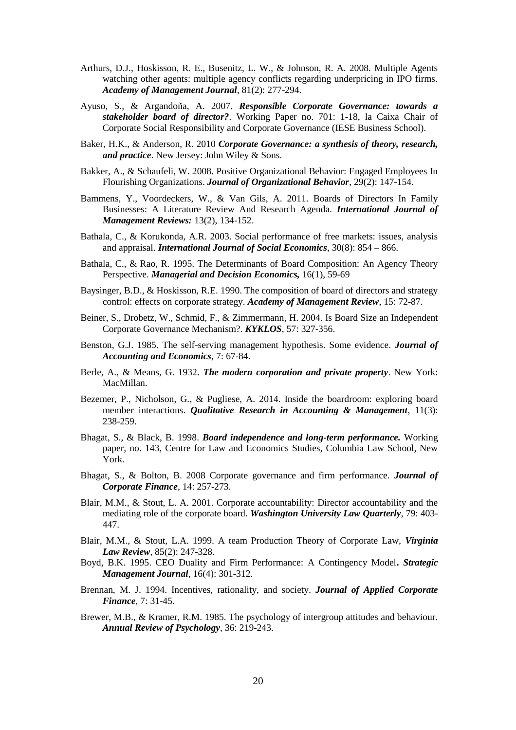- Arthurs, D.J., Hoskisson, R. E., Busenitz, L. W., & Johnson, R. A. 2008. Multiple Agents watching other agents: multiple agency conflicts regarding underpricing in IPO firms. *Academy of Management Journal*, 81(2): 277-294.
- Ayuso, S., & Argandoña, A. 2007. *Responsible Corporate Governance: towards a stakeholder board of director?*. Working Paper no. 701: 1-18, la Caixa Chair of Corporate Social Responsibility and Corporate Governance (IESE Business School).
- Baker, H.K., & Anderson, R. 2010 *Corporate Governance: a synthesis of theory, research, and practice*. New Jersey: John Wiley & Sons.
- Bakker, A., & Schaufeli, W. 2008. Positive Organizational Behavior: Engaged Employees In Flourishing Organizations. *Journal of Organizational Behavior*, 29(2): 147-154.
- Bammens, Y., Voordeckers, W., & Van Gils, A. 2011. Boards of Directors In Family Businesses: A Literature Review And Research Agenda. *International Journal of Management Reviews:* 13(2), 134-152.
- Bathala, C., & Korukonda, A.R. 2003. Social performance of free markets: issues, analysis and appraisal. *International Journal of Social Economics*, 30(8): 854 – 866.
- Bathala, C., & Rao, R. 1995. The Determinants of Board Composition: An Agency Theory Perspective. *Managerial and Decision Economics,* 16(1), 59-69
- Baysinger, B.D., & Hoskisson, R.E. 1990. The composition of board of directors and strategy control: effects on corporate strategy. *Academy of Management Review*, 15: 72-87.
- Beiner, S., Drobetz, W., Schmid, F., & Zimmermann, H. 2004. Is Board Size an Independent Corporate Governance Mechanism?. *KYKLOS*, 57: 327-356.
- Benston, G.J. 1985. The self-serving management hypothesis. Some evidence. *Journal of Accounting and Economics*, 7: 67-84.
- Berle, A., & Means, G. 1932. *The modern corporation and private property*. New York: MacMillan.
- Bezemer, P., Nicholson, G., & Pugliese, A. 2014. Inside the boardroom: exploring board member interactions. *Qualitative Research in Accounting & Management*, 11(3): 238-259.
- Bhagat, S., & Black, B. 1998. *Board independence and long-term performance.* Working paper*,* no. 143, Centre for Law and Economics Studies, Columbia Law School, New York.
- Bhagat, S., & Bolton, B. 2008 Corporate governance and firm performance. *Journal of Corporate Finance*, 14: 257-273.
- Blair, M.M., & Stout, L. A. 2001. Corporate accountability: Director accountability and the mediating role of the corporate board. *Washington University Law Quarterly*, 79: 403- 447.
- Blair, M.M., & Stout, L.A. 1999. A team Production Theory of Corporate Law, *Virginia Law Review*, 85(2): 247-328.
- Boyd, B.K. 1995. CEO Duality and Firm Performance: A Contingency Model**.** *Strategic Management Journal*, 16(4): 301-312.
- Brennan, M. J. 1994. Incentives, rationality, and society. *Journal of Applied Corporate Finance,* 7: 31-45.
- Brewer, M.B., & Kramer, R.M. 1985. The psychology of intergroup attitudes and behaviour. *Annual Review of Psychology*, 36: 219-243.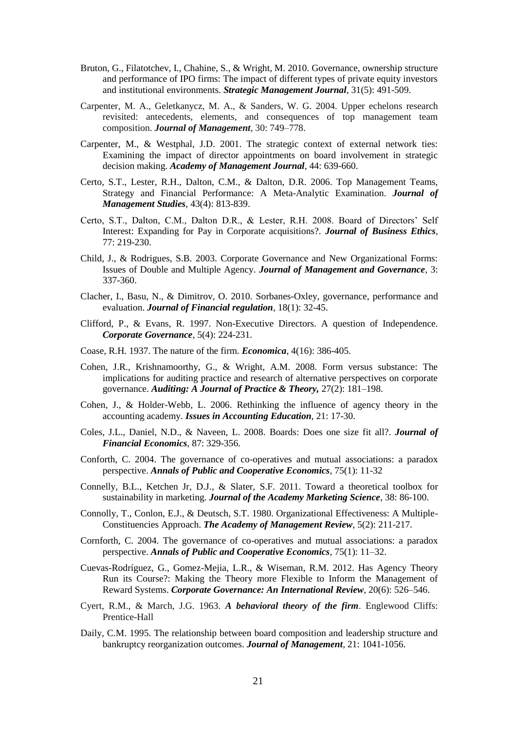- Bruton, G., Filatotchev, I., Chahine, S., & Wright, M. 2010. Governance, ownership structure and performance of IPO firms: The impact of different types of private equity investors and institutional environments. *Strategic Management Journal*, 31(5): 491-509.
- Carpenter, M. A., Geletkanycz, M. A., & Sanders, W. G. 2004. Upper echelons research revisited: antecedents, elements, and consequences of top management team composition. *Journal of Management*, 30: 749–778.
- Carpenter, M., & Westphal, J.D. 2001. The strategic context of external network ties: Examining the impact of director appointments on board involvement in strategic decision making. *Academy of Management Journal*, 44: 639-660.
- Certo, S.T., Lester, R.H., Dalton, C.M., & Dalton, D.R. 2006. Top Management Teams, Strategy and Financial Performance: A Meta-Analytic Examination. *Journal of Management Studies*, 43(4): 813-839.
- Certo, S.T., Dalton, C.M., Dalton D.R., & Lester, R.H. 2008. Board of Directors' Self Interest: Expanding for Pay in Corporate acquisitions?. *Journal of Business Ethics*, 77: 219-230.
- Child, J., & Rodrigues, S.B. 2003. Corporate Governance and New Organizational Forms: Issues of Double and Multiple Agency. *Journal of Management and Governance*, 3: 337-360.
- Clacher, I., Basu, N., & Dimitrov, O. 2010. Sorbanes-Oxley, governance, performance and evaluation. *Journal of Financial regulation*, 18(1): 32-45.
- Clifford, P., & Evans, R. 1997. Non-Executive Directors. A question of Independence. *Corporate Governance*, 5(4): 224-231.
- Coase, R.H. 1937. The nature of the firm. *Economica*, 4(16): 386-405.
- Cohen, J.R., Krishnamoorthy, G., & Wright, A.M. 2008. Form versus substance: The implications for auditing practice and research of alternative perspectives on corporate governance. *Auditing: A Journal of Practice & Theory,* 27(2): 181–198.
- Cohen, J., & Holder-Webb, L. 2006. Rethinking the influence of agency theory in the accounting academy. *Issues in Accounting Education,* 21: 17-30.
- Coles, J.L., Daniel, N.D., & Naveen, L. 2008. Boards: Does one size fit all?. *Journal of Financial Economics*, 87: 329-356.
- Conforth, C. 2004. The governance of co-operatives and mutual associations: a paradox perspective. *Annals of Public and Cooperative Economics*, 75(1): 11-32
- Connelly, B.L., Ketchen Jr, D.J., & Slater, S.F. 2011. Toward a theoretical toolbox for sustainability in marketing. *Journal of the Academy Marketing Science*, 38: 86-100.
- Connolly, T., Conlon, E.J., & Deutsch, S.T. 1980. Organizational Effectiveness: A Multiple-Constituencies Approach. *The Academy of Management Review*, 5(2): 211-217.
- Cornforth, C. 2004. The governance of co-operatives and mutual associations: a paradox perspective. *Annals of Public and Cooperative Economics*, 75(1): 11–32.
- Cuevas-Rodríguez, G., Gomez-Mejia, L.R., & Wiseman, R.M. 2012. Has Agency Theory Run its Course?: Making the Theory more Flexible to Inform the Management of Reward Systems. *Corporate Governance: An International Review*, 20(6): 526–546.
- Cyert, R.M., & March, J.G. 1963. *A behavioral theory of the firm*. Englewood Cliffs: Prentice-Hall
- Daily, C.M. 1995. The relationship between board composition and leadership structure and bankruptcy reorganization outcomes. *Journal of Management*, 21: 1041-1056.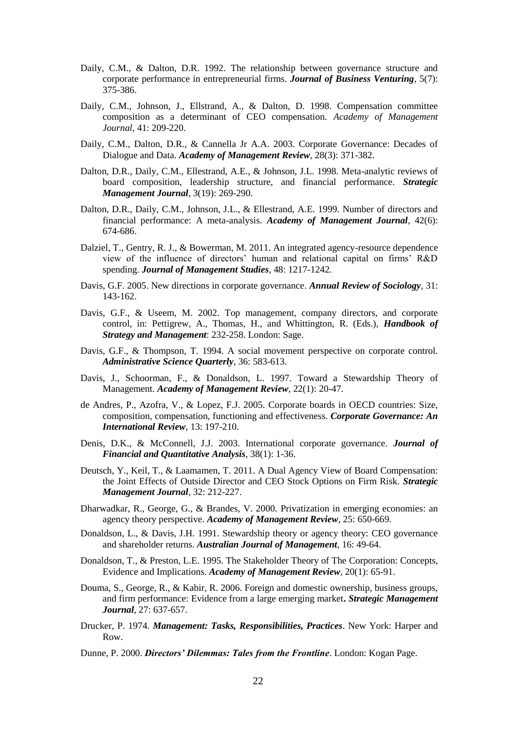- Daily, C.M., & Dalton, D.R. 1992. The relationship between governance structure and corporate performance in entrepreneurial firms. *Journal of Business Venturing*, 5(7): 375-386.
- Daily, C.M., Johnson, J., Ellstrand, A., & Dalton, D. 1998. Compensation committee composition as a determinant of CEO compensation. *Academy of Management Journal*, 41: 209-220.
- Daily, C.M., Dalton, D.R., & Cannella Jr A.A. 2003. Corporate Governance: Decades of Dialogue and Data. *Academy of Management Review*, 28(3): 371-382.
- Dalton, D.R., Daily, C.M., Ellestrand, A.E., & Johnson, J.L. 1998. Meta-analytic reviews of board composition, leadership structure, and financial performance. *Strategic Management Journal*, 3(19): 269-290.
- Dalton, D.R., Daily, C.M., Johnson, J.L., & Ellestrand, A.E. 1999. Number of directors and financial performance: A meta-analysis. *Academy of Management Journal*, 42(6): 674-686.
- Dalziel, T., Gentry, R. J., & Bowerman, M. 2011. An integrated agency-resource dependence view of the influence of directors' human and relational capital on firms' R&D spending. *Journal of Management Studies*, 48: 1217-1242.
- Davis, G.F. 2005. New directions in corporate governance. *Annual Review of Sociology*, 31: 143-162.
- Davis, G.F., & Useem, M. 2002. Top management, company directors, and corporate control, in: Pettigrew, A., Thomas, H., and Whittington, R. (Eds.), *Handbook of Strategy and Management*: 232-258. London: Sage.
- Davis, G.F., & Thompson, T. 1994. A social movement perspective on corporate control. *Administrative Science Quarterly*, 36: 583-613.
- Davis, J., Schoorman, F., & Donaldson, L. 1997. Toward a Stewardship Theory of Management. *Academy of Management Review*, 22(1): 20-47.
- de Andres, P., Azofra, V., & Lopez, F.J. 2005. Corporate boards in OECD countries: Size, composition, compensation, functioning and effectiveness. *Corporate Governance: An International Review*, 13: 197-210.
- Denis, D.K., & McConnell, J.J. 2003. International corporate governance. *Journal of Financial and Quantitative Analysis*, 38(1): 1-36.
- Deutsch, Y., Keil, T., & Laamamen, T. 2011. A Dual Agency View of Board Compensation: the Joint Effects of Outside Director and CEO Stock Options on Firm Risk. *Strategic Management Journal*, 32: 212-227.
- Dharwadkar, R., George, G., & Brandes, V. 2000. Privatization in emerging economies: an agency theory perspective. *Academy of Management Review*, 25: 650-669.
- Donaldson, L., & Davis, J.H. 1991. Stewardship theory or agency theory: CEO governance and shareholder returns. *Australian Journal of Management*, 16: 49-64.
- Donaldson, T., & Preston, L.E. 1995. The Stakeholder Theory of The Corporation: Concepts, Evidence and Implications. *Academy of Management Review,* 20(1): 65-91.
- Douma, S., George, R., & Kabir, R. 2006. Foreign and domestic ownership, business groups, and firm performance: Evidence from a large emerging market**.** *Strategic Management Journal*, 27: 637-657.
- Drucker, P. 1974. *Management: Tasks, Responsibilities, Practices*. New York: Harper and Row.
- Dunne, P. 2000. *Directors' Dilemmas: Tales from the Frontline*. London: Kogan Page.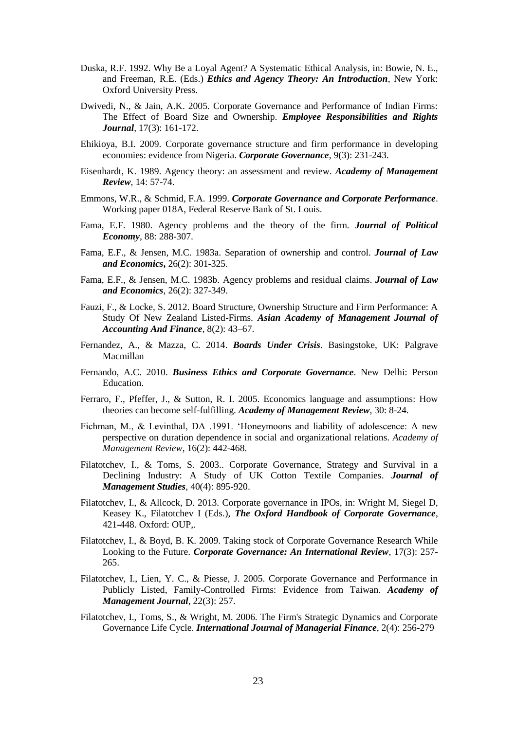- Duska, R.F. 1992. Why Be a Loyal Agent? A Systematic Ethical Analysis, in: Bowie, N. E., and Freeman, R.E. (Eds.) *Ethics and Agency Theory: An Introduction*, New York: Oxford University Press.
- Dwivedi, N., & Jain, A.K. 2005. Corporate Governance and Performance of Indian Firms: The Effect of Board Size and Ownership. *Employee Responsibilities and Rights Journal*, 17(3): 161-172.
- Ehikioya, B.I. 2009. Corporate governance structure and firm performance in developing economies: evidence from Nigeria. *Corporate Governance*, 9(3): 231-243.
- Eisenhardt, K. 1989. Agency theory: an assessment and review. *Academy of Management Review*, 14: 57-74.
- Emmons, W.R., & Schmid, F.A. 1999. *Corporate Governance and Corporate Performance*. Working paper 018A, Federal Reserve Bank of St. Louis.
- Fama, E.F. 1980. Agency problems and the theory of the firm. *Journal of Political Economy*, 88: 288-307.
- Fama, E.F., & Jensen, M.C. 1983a. Separation of ownership and control. *Journal of Law and Economics***,** 26(2): 301-325.
- Fama, E.F., & Jensen, M.C. 1983b. Agency problems and residual claims. *Journal of Law and Economics*, 26(2): 327-349.
- Fauzi, F., & Locke, S. 2012. Board Structure, Ownership Structure and Firm Performance: A Study Of New Zealand Listed-Firms. *Asian Academy of Management Journal of Accounting And Finance*, 8(2): 43–67.
- Fernandez, A., & Mazza, C. 2014. *Boards Under Crisis*. Basingstoke, UK: Palgrave Macmillan
- Fernando, A.C. 2010. *Business Ethics and Corporate Governance*. New Delhi: Person Education.
- Ferraro, F., Pfeffer, J., & Sutton, R. I. 2005. Economics language and assumptions: How theories can become self-fulfilling. *Academy of Management Review,* 30: 8-24.
- Fichman, M., & Levinthal, DA .1991. 'Honeymoons and liability of adolescence: A new perspective on duration dependence in social and organizational relations. *Academy of Management Review*, 16(2): 442-468.
- Filatotchev, I., & Toms, S. 2003.. Corporate Governance, Strategy and Survival in a Declining Industry: A Study of UK Cotton Textile Companies. *Journal of Management Studies*, 40(4): 895-920.
- Filatotchev, I., & Allcock, D. 2013. Corporate governance in IPOs, in: Wright M, Siegel D, Keasey K., Filatotchev I (Eds.), *The Oxford Handbook of Corporate Governance*, 421-448. Oxford: OUP,.
- Filatotchev, I., & Boyd, B. K. 2009. Taking stock of Corporate Governance Research While Looking to the Future. *Corporate Governance: An International Review*, 17(3): 257- 265.
- Filatotchev, I., Lien, Y. C., & Piesse, J. 2005. Corporate Governance and Performance in Publicly Listed, Family-Controlled Firms: Evidence from Taiwan. *Academy of Management Journal*, 22(3): 257.
- Filatotchev, I., Toms, S., & Wright, M. 2006. The Firm's Strategic Dynamics and Corporate Governance Life Cycle. *International Journal of Managerial Finance*, 2(4): 256-279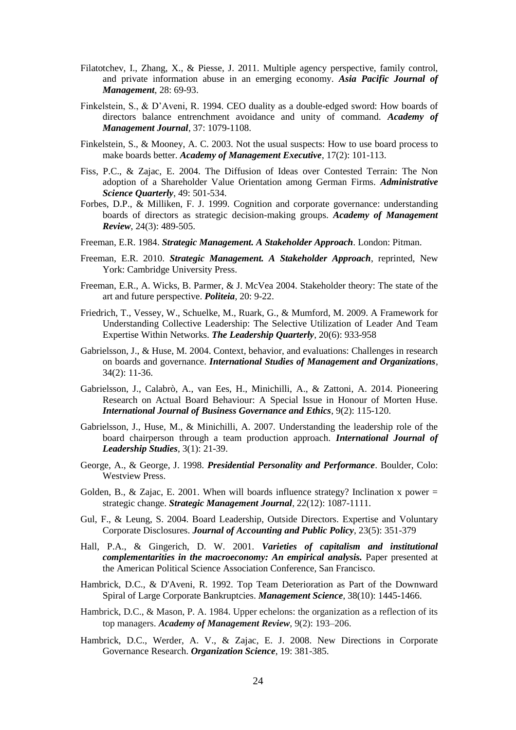- Filatotchev, I., Zhang, X., & Piesse, J. 2011. Multiple agency perspective, family control, and private information abuse in an emerging economy. *Asia Pacific Journal of Management*, 28: 69-93.
- Finkelstein, S., & D'Aveni, R. 1994. CEO duality as a double-edged sword: How boards of directors balance entrenchment avoidance and unity of command. *Academy of Management Journal*, 37: 1079-1108.
- Finkelstein, S., & Mooney, A. C. 2003. Not the usual suspects: How to use board process to make boards better. *Academy of Management Executive*, 17(2): 101-113.
- Fiss, P.C., & Zajac, E. 2004. The Diffusion of Ideas over Contested Terrain: The Non adoption of a Shareholder Value Orientation among German Firms. *Administrative Science Quarterly*, 49: 501-534.
- Forbes, D.P., & Milliken, F. J. 1999. Cognition and corporate governance: understanding boards of directors as strategic decision-making groups. *Academy of Management Review*, 24(3): 489-505.
- Freeman, E.R. 1984. *Strategic Management. A Stakeholder Approach*. London: Pitman.
- Freeman, E.R. 2010. *Strategic Management. A Stakeholder Approach*, reprinted, New York: Cambridge University Press.
- Freeman, E.R., A. Wicks, B. Parmer, & J. McVea 2004. Stakeholder theory: The state of the art and future perspective. *Politeia*, 20: 9-22.
- Friedrich, T., Vessey, W., Schuelke, M., Ruark, G., & Mumford, M. 2009. A Framework for Understanding Collective Leadership: The Selective Utilization of Leader And Team Expertise Within Networks. *The Leadership Quarterly*, 20(6): 933-958
- Gabrielsson, J., & Huse, M. 2004. Context, behavior, and evaluations: Challenges in research on boards and governance. *International Studies of Management and Organizations*, 34(2): 11-36.
- Gabrielsson, J., Calabrò, A., van Ees, H., Minichilli, A., & Zattoni, A. 2014. Pioneering Research on Actual Board Behaviour: A Special Issue in Honour of Morten Huse. *International Journal of Business Governance and Ethics*, 9(2): 115-120.
- Gabrielsson, J., Huse, M., & Minichilli, A. 2007. Understanding the leadership role of the board chairperson through a team production approach. *International Journal of Leadership Studies*, 3(1): 21-39.
- George, A., & George, J. 1998. *Presidential Personality and Performance*. Boulder, Colo: Westview Press.
- Golden, B., & Zajac, E. 2001. When will boards influence strategy? Inclination x power = strategic change. *Strategic Management Journal*, 22(12): 1087-1111.
- Gul, F., & Leung, S. 2004. Board Leadership, Outside Directors. Expertise and Voluntary Corporate Disclosures. *Journal of Accounting and Public Policy*, 23(5): 351-379
- Hall, P.A., & Gingerich, D. W. 2001. *Varieties of capitalism and institutional complementarities in the macroeconomy: An empirical analysis.* Paper presented at the American Political Science Association Conference, San Francisco.
- Hambrick, D.C., & D'Aveni, R. 1992. Top Team Deterioration as Part of the Downward Spiral of Large Corporate Bankruptcies. *Management Science*, 38(10): 1445-1466.
- Hambrick, D.C., & Mason, P. A. 1984. Upper echelons: the organization as a reflection of its top managers. *Academy of Management Review*, 9(2): 193–206.
- Hambrick, D.C., Werder, A. V., & Zajac, E. J. 2008. New Directions in Corporate Governance Research. *Organization Science*, 19: 381-385.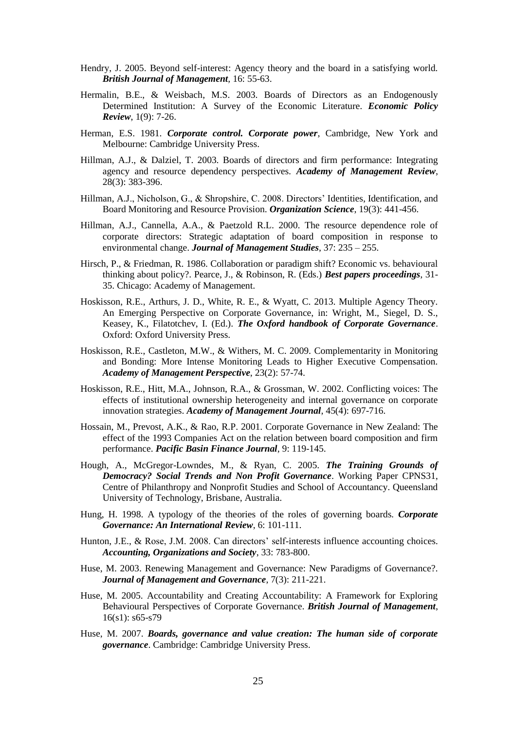- Hendry, J. 2005. Beyond self-interest: Agency theory and the board in a satisfying world. *British Journal of Management,* 16: 55-63.
- Hermalin, B.E., & Weisbach, M.S. 2003. Boards of Directors as an Endogenously Determined Institution: A Survey of the Economic Literature. *Economic Policy Review*, 1(9): 7-26.
- Herman, E.S. 1981. *Corporate control. Corporate power*, Cambridge, New York and Melbourne: Cambridge University Press.
- Hillman, A.J., & Dalziel, T. 2003. Boards of directors and firm performance: Integrating agency and resource dependency perspectives. *Academy of Management Review*, 28(3): 383-396.
- Hillman, A.J., Nicholson, G., & Shropshire, C. 2008. Directors' Identities, Identification, and Board Monitoring and Resource Provision. *Organization Science*, 19(3): 441-456.
- Hillman, A.J., Cannella, A.A., & Paetzold R.L. 2000. [The resource dependence role of](http://serials.unibo.it/cgi-ser/start/it/spogli/df-s.tcl?prog_art=7298815&language=ITALIANO&view=articoli)  [corporate directors: Strategic adaptation of board composition in response to](http://serials.unibo.it/cgi-ser/start/it/spogli/df-s.tcl?prog_art=7298815&language=ITALIANO&view=articoli)  [environmental change.](http://serials.unibo.it/cgi-ser/start/it/spogli/df-s.tcl?prog_art=7298815&language=ITALIANO&view=articoli) *Journal of Management Studies*, 37: 235 – 255.
- Hirsch, P., & Friedman, R. 1986. Collaboration or paradigm shift? Economic vs. behavioural thinking about policy?. Pearce, J., & Robinson, R. (Eds.) *Best papers proceedings*, 31- 35. Chicago: Academy of Management.
- Hoskisson, R.E., Arthurs, J. D., White, R. E., & Wyatt, C. 2013. Multiple Agency Theory. An Emerging Perspective on Corporate Governance, in: Wright, M., Siegel, D. S., Keasey, K., Filatotchev, I. (Ed.). *The Oxford handbook of Corporate Governance*. Oxford: Oxford University Press.
- Hoskisson, R.E., Castleton, M.W., & Withers, M. C. 2009. Complementarity in Monitoring and Bonding: More Intense Monitoring Leads to Higher Executive Compensation. *Academy of Management Perspective*, 23(2): 57-74.
- Hoskisson, R.E., Hitt, M.A., Johnson, R.A., & Grossman, W. 2002. Conflicting voices: The effects of institutional ownership heterogeneity and internal governance on corporate innovation strategies. *Academy of Management Journal*, 45(4): 697-716.
- Hossain, M., Prevost, A.K., & Rao, R.P. 2001. Corporate Governance in New Zealand: The effect of the 1993 Companies Act on the relation between board composition and firm performance. *Pacific Basin Finance Journal*, 9: 119-145.
- Hough, A., McGregor-Lowndes, M., & Ryan, C. 2005. *The Training Grounds of Democracy? Social Trends and Non Profit Governance*. Working Paper CPNS31, Centre of Philanthropy and Nonprofit Studies and School of Accountancy. Queensland University of Technology, Brisbane, Australia.
- Hung, H. 1998. A typology of the theories of the roles of governing boards. *Corporate Governance: An International Review*, 6: 101-111.
- Hunton, J.E., & Rose, J.M. 2008. Can directors' self-interests influence accounting choices. *Accounting, Organizations and Society*, 33: 783-800.
- Huse, M. 2003. Renewing Management and Governance: New Paradigms of Governance?. *Journal of Management and Governance*, 7(3): 211-221.
- Huse, M. 2005. Accountability and Creating Accountability: A Framework for Exploring Behavioural Perspectives of Corporate Governance. *British Journal of Management*,  $16(s1): s65-s79$
- Huse, M. 2007. *Boards, governance and value creation: The human side of corporate governance*. Cambridge: Cambridge University Press.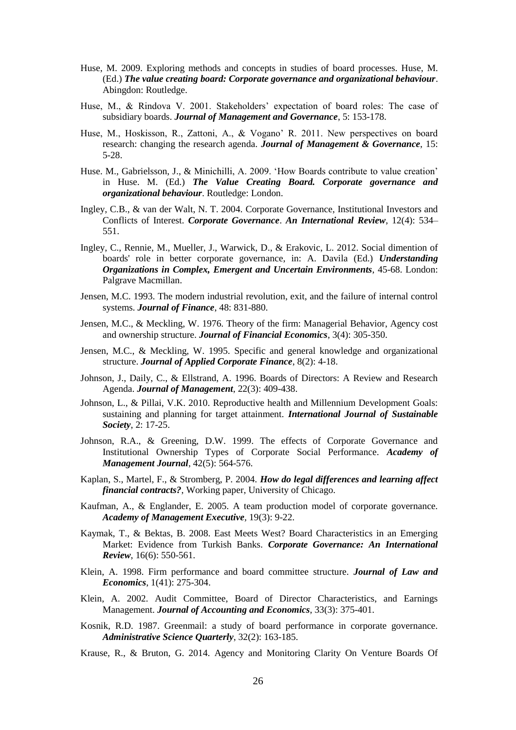- Huse, M. 2009. Exploring methods and concepts in studies of board processes. Huse, M. (Ed.) *The value creating board: Corporate governance and organizational behaviour*. Abingdon: Routledge.
- Huse, M., & Rindova V. 2001. Stakeholders' expectation of board roles: The case of subsidiary boards. *Journal of Management and Governance*, 5: 153-178.
- Huse, M., Hoskisson, R., Zattoni, A., & Vogano' R. 2011. New perspectives on board research: changing the research agenda. *Journal of Management & Governance*, 15: 5-28.
- Huse. M., Gabrielsson, J., & Minichilli, A. 2009. 'How Boards contribute to value creation' in Huse. M. (Ed.) *The Value Creating Board. Corporate governance and organizational behaviour*. Routledge: London.
- Ingley, C.B., & van der Walt, N. T. 2004. Corporate Governance, Institutional Investors and Conflicts of Interest. *Corporate Governance*. *An International Review*, 12(4): 534– 551.
- Ingley, C., Rennie, M., Mueller, J., Warwick, D., & Erakovic, L. 2012. Social dimention of boards' role in better corporate governance, in: A. Davila (Ed.) *Understanding Organizations in Complex, Emergent and Uncertain Environments*, 45-68. London: Palgrave Macmillan.
- Jensen, M.C. 1993. The modern industrial revolution, exit, and the failure of internal control systems. *Journal of Finance*, 48: 831-880.
- Jensen, M.C., & Meckling, W. 1976. Theory of the firm: Managerial Behavior, Agency cost and ownership structure. *Journal of Financial Economics*, 3(4): 305-350.
- Jensen, M.C., & Meckling, W. 1995. Specific and general knowledge and organizational structure. *Journal of Applied Corporate Finance*, 8(2): 4-18.
- Johnson, J., Daily, C., & Ellstrand, A. 1996. Boards of Directors: A Review and Research Agenda. *Journal of Management*, 22(3): 409-438.
- Johnson, L., & Pillai, V.K. 2010. Reproductive health and Millennium Development Goals: sustaining and planning for target attainment. *International Journal of Sustainable Society*, 2: 17-25.
- Johnson, R.A., & Greening, D.W. 1999. The effects of Corporate Governance and Institutional Ownership Types of Corporate Social Performance. *Academy of Management Journal*, 42(5): 564-576.
- Kaplan, S., Martel, F., & Stromberg, P. 2004. *How do legal differences and learning affect financial contracts?*, Working paper, University of Chicago.
- Kaufman, A., & Englander, E. 2005. A team production model of corporate governance. *Academy of Management Executive,* 19(3): 9-22.
- Kaymak, T., & Bektas, B. 2008. East Meets West? Board Characteristics in an Emerging Market: Evidence from Turkish Banks. *Corporate Governance: An International Review*, 16(6): 550-561.
- Klein, A. 1998. Firm performance and board committee structure. *Journal of Law and Economics*, 1(41): 275-304.
- Klein, A. 2002. Audit Committee, Board of Director Characteristics, and Earnings Management. *Journal of Accounting and Economics*, 33(3): 375-401.
- Kosnik, R.D. 1987. Greenmail: a study of board performance in corporate governance. *Administrative Science Quarterly*, 32(2): 163-185.
- Krause, R., & Bruton, G. 2014. Agency and Monitoring Clarity On Venture Boards Of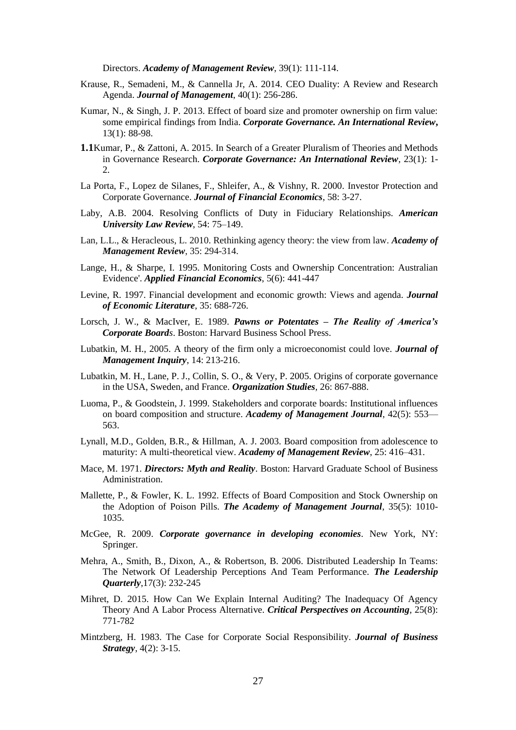Directors. *Academy of Management Review*, 39(1): 111-114.

- Krause, R., Semadeni, M., & Cannella Jr, A. 2014. CEO Duality: A Review and Research Agenda. *Journal of Management*, 40(1): 256-286.
- Kumar, N., & Singh, J. P. 2013. Effect of board size and promoter ownership on firm value: some empirical findings from India. *Corporate Governance. An International Review***,** 13(1): 88-98.
- **1.1**Kumar, P., & Zattoni, A. 2015. In Search of a Greater Pluralism of Theories and Methods in Governance Research. *Corporate Governance: An International Review,* 23(1): 1- 2.
- La Porta, F., Lopez de Silanes, F., Shleifer, A., & Vishny, R. 2000. Investor Protection and Corporate Governance. *Journal of Financial Economics*, 58: 3-27.
- Laby, A.B. 2004. Resolving Conflicts of Duty in Fiduciary Relationships. *American University Law Review*, 54: 75–149.
- Lan, L.L., & Heracleous, L. 2010. Rethinking agency theory: the view from law. *Academy of Management Review*, 35: 294-314.
- Lange, H., & Sharpe, I. 1995. Monitoring Costs and Ownership Concentration: Australian Evidence'. *Applied Financial Economics*, 5(6): 441-447
- Levine, R. 1997. Financial development and economic growth: Views and agenda. *Journal of Economic Literature*, 35: 688-726.
- Lorsch, J. W., & MacIver, E. 1989. *Pawns or Potentates – The Reality of America's Corporate Boards*. Boston: Harvard Business School Press.
- Lubatkin, M. H., 2005. A theory of the firm only a microeconomist could love. *Journal of Management Inquiry*, 14: 213-216.
- Lubatkin, M. H., Lane, P. J., Collin, S. O., & Very, P. 2005. Origins of corporate governance in the USA, Sweden, and France. *Organization Studies,* 26: 867-888.
- Luoma, P., & Goodstein, J. 1999. Stakeholders and corporate boards: Institutional influences on board composition and structure. *Academy of Management Journal*, 42(5): 553— 563.
- Lynall, M.D., Golden, B.R., & Hillman, A. J. 2003. Board composition from adolescence to maturity: A multi-theoretical view. *Academy of Management Review*, 25: 416–431.
- Mace, M. 1971. *Directors: Myth and Reality*. Boston: Harvard Graduate School of Business Administration.
- Mallette, P., & Fowler, K. L. 1992. Effects of Board Composition and Stock Ownership on the Adoption of Poison Pills. *The Academy of Management Journal*, 35(5): 1010- 1035.
- McGee, R. 2009. *Corporate governance in developing economies*. New York, NY: Springer.
- Mehra, A., Smith, B., Dixon, A., & Robertson, B. 2006. Distributed Leadership In Teams: The Network Of Leadership Perceptions And Team Performance. *The Leadership Quarterly*,17(3): 232-245
- Mihret, D. 2015. How Can We Explain Internal Auditing? The Inadequacy Of Agency Theory And A Labor Process Alternative. *Critical Perspectives on Accounting*, 25(8): 771-782
- Mintzberg, H. 1983. The Case for Corporate Social Responsibility. *Journal of Business Strategy*, 4(2): 3-15.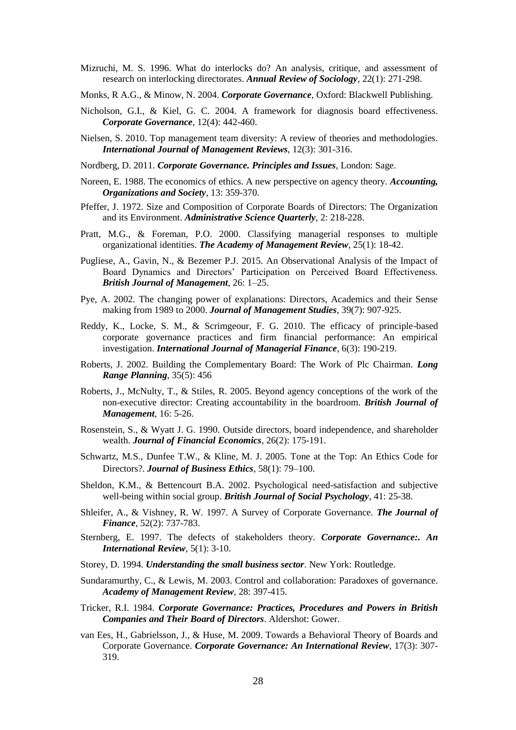Mizruchi, M. S. 1996. What do interlocks do? An analysis, critique, and assessment of research on interlocking directorates. *Annual Review of Sociology,* 22(1): 271-298.

Monks, R A.G., & Minow, N. 2004. *Corporate Governance*, Oxford: Blackwell Publishing.

- Nicholson, G.I., & Kiel, G. C. 2004. A framework for diagnosis board effectiveness. *Corporate Governance*, 12(4): 442-460.
- Nielsen, S. 2010. Top management team diversity: A review of theories and methodologies. *International Journal of Management Reviews*, 12(3): 301-316.
- Nordberg, D. 2011. *Corporate Governance. Principles and Issues*, London: Sage.
- Noreen, E. 1988. The economics of ethics. A new perspective on agency theory. *Accounting, Organizations and Society,* 13: 359-370.
- Pfeffer, J. 1972. Size and Composition of Corporate Boards of Directors: The Organization and its Environment. *Administrative Science Quarterly,* 2: 218-228.
- Pratt, M.G., & Foreman, P.O. 2000. Classifying managerial responses to multiple organizational identities. *The Academy of Management Review*, 25(1): 18-42.
- Pugliese, A., Gavin, N., & Bezemer P.J. 2015. An Observational Analysis of the Impact of Board Dynamics and Directors' Participation on Perceived Board Effectiveness. *British Journal of Management,* 26: 1–25.
- Pye, A. 2002. The changing power of explanations: Directors, Academics and their Sense making from 1989 to 2000. *Journal of Management Studies*, 39(7): 907-925.
- Reddy, K., Locke, S. M., & Scrimgeour, F. G. 2010. The efficacy of principle-based corporate governance practices and firm financial performance: An empirical investigation. *International Journal of Managerial Finance*, 6(3): 190-219.
- Roberts, J. 2002. Building the Complementary Board: The Work of Plc Chairman. *Long Range Planning*, 35(5): 456
- Roberts, J., McNulty, T., & Stiles, R. 2005. Beyond agency conceptions of the work of the non-executive director: Creating accountability in the boardroom. *British Journal of Management*, 16: 5-26.
- Rosenstein, S., & Wyatt J. G. 1990. Outside directors, board independence, and shareholder wealth. *Journal of Financial Economics*, 26(2): 175-191.
- Schwartz, M.S., Dunfee T.W., & Kline, M. J. 2005. Tone at the Top: An Ethics Code for Directors?. *Journal of Business Ethics*, 58(1): 79–100.
- Sheldon, K.M., & Bettencourt B.A. 2002. Psychological need-satisfaction and subjective well-being within social group. *British Journal of Social Psychology*, 41: 25-38.
- Shleifer, A., & Vishney, R. W. 1997. A Survey of Corporate Governance. *The Journal of Finance*, 52(2): 737-783.
- Sternberg, E. 1997. The defects of stakeholders theory. *Corporate Governance:. An International Review*, 5(1): 3-10.
- Storey, D. 1994. *Understanding the small business sector*. New York: Routledge.
- Sundaramurthy, C., & Lewis, M. 2003. Control and collaboration: Paradoxes of governance. *Academy of Management Review*, 28: 397-415.
- Tricker, R.I. 1984. *Corporate Governance: Practices, Procedures and Powers in British Companies and Their Board of Directors*. Aldershot: Gower.
- van Ees, H., Gabrielsson, J., & Huse, M. 2009. Towards a Behavioral Theory of Boards and Corporate Governance. *Corporate Governance: An International Review*, 17(3): 307- 319.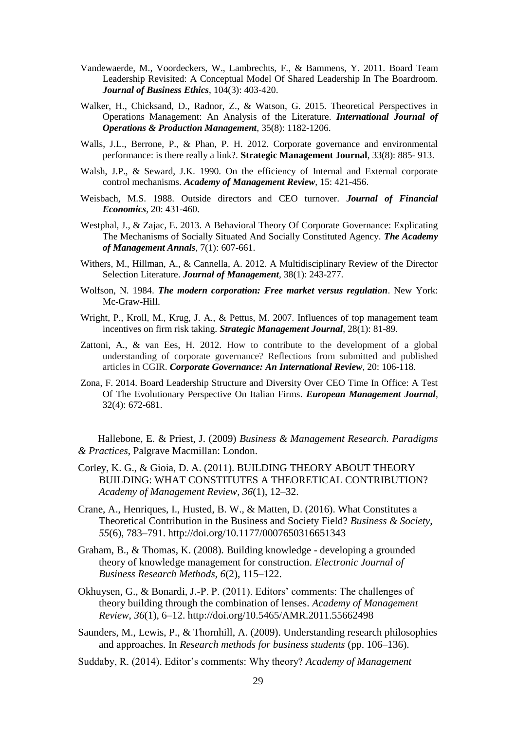- Vandewaerde, M., Voordeckers, W., Lambrechts, F., & Bammens, Y. 2011. Board Team Leadership Revisited: A Conceptual Model Of Shared Leadership In The Boardroom. *Journal of Business Ethics*, 104(3): 403-420.
- Walker, H., Chicksand, D., Radnor, Z., & Watson, G. 2015. Theoretical Perspectives in Operations Management: An Analysis of the Literature. *International Journal of Operations & Production Management*, 35(8): 1182-1206.
- Walls, J.L., Berrone, P., & Phan, P. H. 2012. Corporate governance and environmental performance: is there really a link?. **Strategic Management Journal**, 33(8): 885- 913.
- Walsh, J.P., & Seward, J.K. 1990. On the efficiency of Internal and External corporate control mechanisms. *Academy of Management Review*, 15: 421-456.
- Weisbach, M.S. 1988. Outside directors and CEO turnover. *Journal of Financial Economics*, 20: 431-460.
- Westphal, J., & Zajac, E. 2013. A Behavioral Theory Of Corporate Governance: Explicating The Mechanisms of Socially Situated And Socially Constituted Agency. *The Academy of Management Annals*, 7(1): 607-661.
- Withers, M., Hillman, A., & Cannella, A. 2012. A Multidisciplinary Review of the Director Selection Literature. *Journal of Management*, 38(1): 243-277.
- Wolfson, N. 1984. *The modern corporation: Free market versus regulation*. New York: Mc-Graw-Hill.
- Wright, P., Kroll, M., Krug, J. A., & Pettus, M. 2007. Influences of top management team incentives on firm risk taking. *Strategic Management Journal*, 28(1): 81-89.
- Zattoni, A., & van Ees, H. 2012. How to contribute to the development of a global understanding of corporate governance? Reflections from submitted and published articles in CGIR. *Corporate Governance: An International Review*, 20: 106-118.
- Zona, F. 2014. Board Leadership Structure and Diversity Over CEO Time In Office: A Test Of The Evolutionary Perspective On Italian Firms. *European Management Journal*, 32(4): 672-681.

Hallebone, E. & Priest, J. (2009) *Business & Management Research. Paradigms & Practices*, Palgrave Macmillan: London.

- Corley, K. G., & Gioia, D. A. (2011). BUILDING THEORY ABOUT THEORY BUILDING: WHAT CONSTITUTES A THEORETICAL CONTRIBUTION? *Academy of Management Review*, *36*(1), 12–32.
- Crane, A., Henriques, I., Husted, B. W., & Matten, D. (2016). What Constitutes a Theoretical Contribution in the Business and Society Field? *Business & Society*, *55*(6), 783–791. http://doi.org/10.1177/0007650316651343
- Graham, B., & Thomas, K. (2008). Building knowledge developing a grounded theory of knowledge management for construction. *Electronic Journal of Business Research Methods*, *6*(2), 115–122.
- Okhuysen, G., & Bonardi, J.-P. P. (2011). Editors' comments: The challenges of theory building through the combination of lenses. *Academy of Management Review*, *36*(1), 6–12. http://doi.org/10.5465/AMR.2011.55662498
- Saunders, M., Lewis, P., & Thornhill, A. (2009). Understanding research philosophies and approaches. In *Research methods for business students* (pp. 106–136).
- Suddaby, R. (2014). Editor's comments: Why theory? *Academy of Management*